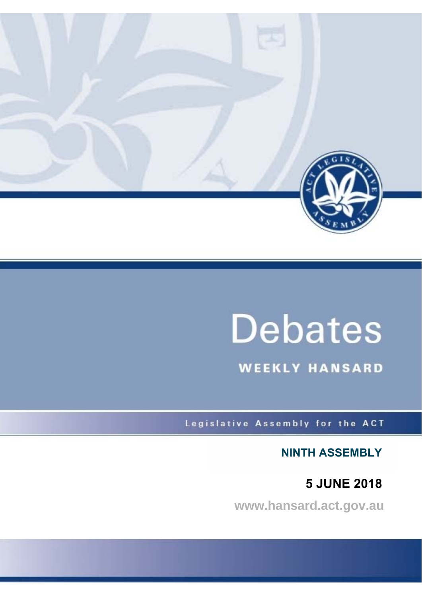

# **Debates**

**WEEKLY HANSARD** 

Legislative Assembly for the ACT

**NINTH ASSEMBLY**

**5 JUNE 2018**

**www.hansard.act.gov.au**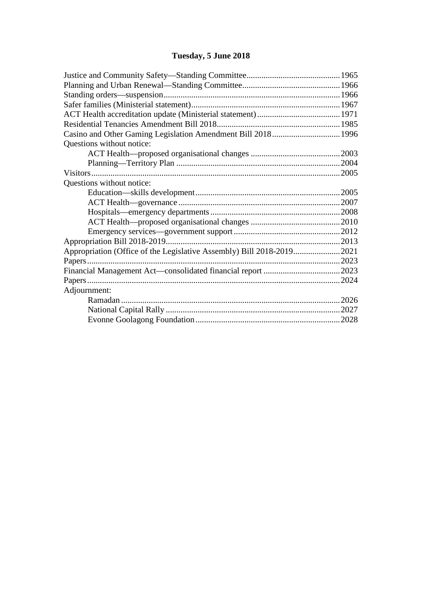# **[Tuesday, 5 June 2018](#page-2-0)**

| Casino and Other Gaming Legislation Amendment Bill 2018 1996 |  |
|--------------------------------------------------------------|--|
| Questions without notice:                                    |  |
|                                                              |  |
|                                                              |  |
|                                                              |  |
| Questions without notice:                                    |  |
|                                                              |  |
|                                                              |  |
|                                                              |  |
|                                                              |  |
|                                                              |  |
|                                                              |  |
|                                                              |  |
|                                                              |  |
|                                                              |  |
|                                                              |  |
| Adjournment:                                                 |  |
|                                                              |  |
|                                                              |  |
|                                                              |  |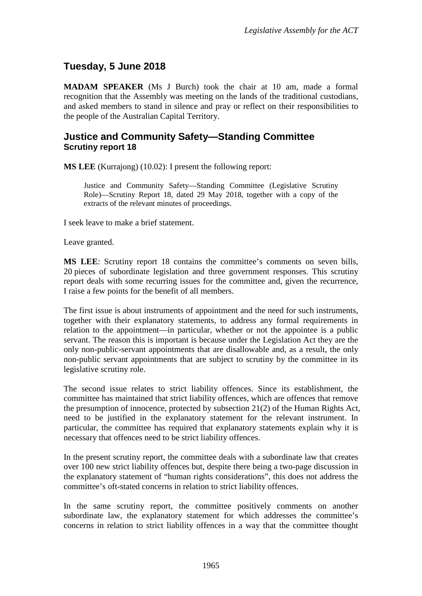# <span id="page-2-0"></span>**Tuesday, 5 June 2018**

**MADAM SPEAKER** (Ms J Burch) took the chair at 10 am, made a formal recognition that the Assembly was meeting on the lands of the traditional custodians, and asked members to stand in silence and pray or reflect on their responsibilities to the people of the Australian Capital Territory.

## <span id="page-2-1"></span>**Justice and Community Safety—Standing Committee Scrutiny report 18**

**MS LEE** (Kurrajong) (10.02): I present the following report:

Justice and Community Safety—Standing Committee (Legislative Scrutiny Role)—Scrutiny Report 18*,* dated 29 May 2018, together with a copy of the extracts of the relevant minutes of proceedings.

I seek leave to make a brief statement.

Leave granted.

**MS LEE**: Scrutiny report 18 contains the committee's comments on seven bills, 20 pieces of subordinate legislation and three government responses. This scrutiny report deals with some recurring issues for the committee and, given the recurrence, I raise a few points for the benefit of all members.

The first issue is about instruments of appointment and the need for such instruments, together with their explanatory statements, to address any formal requirements in relation to the appointment—in particular, whether or not the appointee is a public servant. The reason this is important is because under the Legislation Act they are the only non-public-servant appointments that are disallowable and, as a result, the only non-public servant appointments that are subject to scrutiny by the committee in its legislative scrutiny role.

The second issue relates to strict liability offences. Since its establishment, the committee has maintained that strict liability offences, which are offences that remove the presumption of innocence, protected by subsection 21(2) of the Human Rights Act, need to be justified in the explanatory statement for the relevant instrument. In particular, the committee has required that explanatory statements explain why it is necessary that offences need to be strict liability offences.

In the present scrutiny report, the committee deals with a subordinate law that creates over 100 new strict liability offences but, despite there being a two-page discussion in the explanatory statement of "human rights considerations", this does not address the committee's oft-stated concerns in relation to strict liability offences.

In the same scrutiny report, the committee positively comments on another subordinate law, the explanatory statement for which addresses the committee's concerns in relation to strict liability offences in a way that the committee thought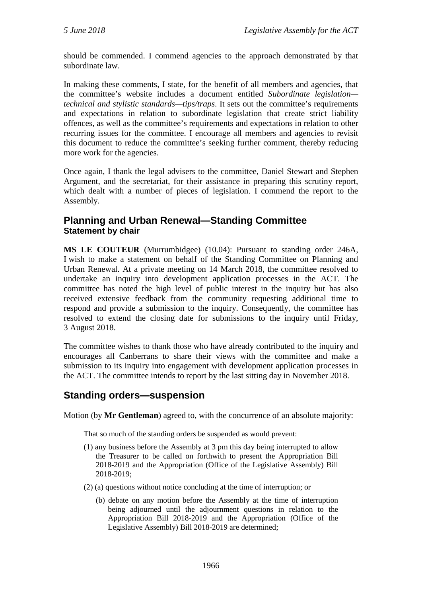should be commended. I commend agencies to the approach demonstrated by that subordinate law.

In making these comments, I state, for the benefit of all members and agencies, that the committee's website includes a document entitled *Subordinate legislation technical and stylistic standards—tips/traps*. It sets out the committee's requirements and expectations in relation to subordinate legislation that create strict liability offences, as well as the committee's requirements and expectations in relation to other recurring issues for the committee. I encourage all members and agencies to revisit this document to reduce the committee's seeking further comment, thereby reducing more work for the agencies.

Once again, I thank the legal advisers to the committee, Daniel Stewart and Stephen Argument, and the secretariat, for their assistance in preparing this scrutiny report, which dealt with a number of pieces of legislation. I commend the report to the Assembly.

## <span id="page-3-0"></span>**Planning and Urban Renewal—Standing Committee Statement by chair**

**MS LE COUTEUR** (Murrumbidgee) (10.04): Pursuant to standing order 246A, I wish to make a statement on behalf of the Standing Committee on Planning and Urban Renewal. At a private meeting on 14 March 2018, the committee resolved to undertake an inquiry into development application processes in the ACT. The committee has noted the high level of public interest in the inquiry but has also received extensive feedback from the community requesting additional time to respond and provide a submission to the inquiry. Consequently, the committee has resolved to extend the closing date for submissions to the inquiry until Friday, 3 August 2018.

The committee wishes to thank those who have already contributed to the inquiry and encourages all Canberrans to share their views with the committee and make a submission to its inquiry into engagement with development application processes in the ACT. The committee intends to report by the last sitting day in November 2018.

# <span id="page-3-1"></span>**Standing orders—suspension**

Motion (by **Mr Gentleman**) agreed to, with the concurrence of an absolute majority:

That so much of the standing orders be suspended as would prevent:

- (1) any business before the Assembly at 3 pm this day being interrupted to allow the Treasurer to be called on forthwith to present the Appropriation Bill 2018-2019 and the Appropriation (Office of the Legislative Assembly) Bill 2018-2019;
- (2) (a) questions without notice concluding at the time of interruption; or
	- (b) debate on any motion before the Assembly at the time of interruption being adjourned until the adjournment questions in relation to the Appropriation Bill 2018-2019 and the Appropriation (Office of the Legislative Assembly) Bill 2018-2019 are determined;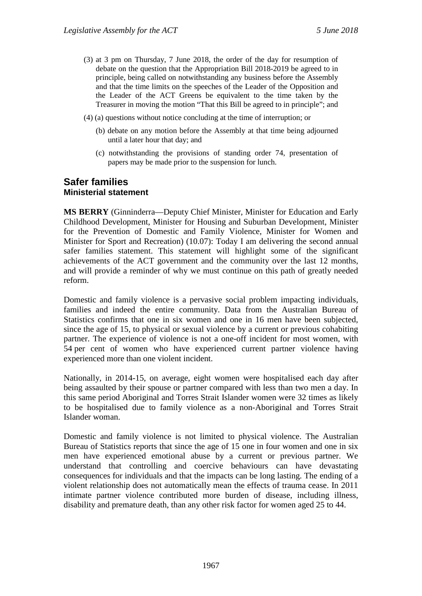- (3) at 3 pm on Thursday, 7 June 2018, the order of the day for resumption of debate on the question that the Appropriation Bill 2018-2019 be agreed to in principle, being called on notwithstanding any business before the Assembly and that the time limits on the speeches of the Leader of the Opposition and the Leader of the ACT Greens be equivalent to the time taken by the Treasurer in moving the motion "That this Bill be agreed to in principle"; and
- (4) (a) questions without notice concluding at the time of interruption; or
	- (b) debate on any motion before the Assembly at that time being adjourned until a later hour that day; and
	- (c) notwithstanding the provisions of standing order 74, presentation of papers may be made prior to the suspension for lunch.

#### <span id="page-4-1"></span><span id="page-4-0"></span>**Safer families Ministerial statement**

**MS BERRY** (Ginninderra—Deputy Chief Minister, Minister for Education and Early Childhood Development, Minister for Housing and Suburban Development, Minister for the Prevention of Domestic and Family Violence, Minister for Women and Minister for Sport and Recreation) (10.07): Today I am delivering the second annual safer families statement. This statement will highlight some of the significant achievements of the ACT government and the community over the last 12 months, and will provide a reminder of why we must continue on this path of greatly needed reform.

Domestic and family violence is a pervasive social problem impacting individuals, families and indeed the entire community. Data from the Australian Bureau of Statistics confirms that one in six women and one in 16 men have been subjected, since the age of 15, to physical or sexual violence by a current or previous cohabiting partner. The experience of violence is not a one-off incident for most women, with 54 per cent of women who have experienced current partner violence having experienced more than one violent incident.

Nationally, in 2014-15, on average, eight women were hospitalised each day after being assaulted by their spouse or partner compared with less than two men a day. In this same period Aboriginal and Torres Strait Islander women were 32 times as likely to be hospitalised due to family violence as a non-Aboriginal and Torres Strait Islander woman.

Domestic and family violence is not limited to physical violence. The Australian Bureau of Statistics reports that since the age of 15 one in four women and one in six men have experienced emotional abuse by a current or previous partner. We understand that controlling and coercive behaviours can have devastating consequences for individuals and that the impacts can be long lasting. The ending of a violent relationship does not automatically mean the effects of trauma cease. In 2011 intimate partner violence contributed more burden of disease, including illness, disability and premature death, than any other risk factor for women aged 25 to 44.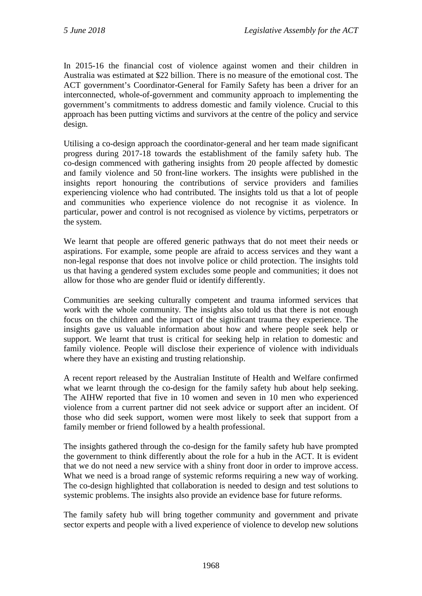In 2015-16 the financial cost of violence against women and their children in Australia was estimated at \$22 billion. There is no measure of the emotional cost. The ACT government's Coordinator-General for Family Safety has been a driver for an interconnected, whole-of-government and community approach to implementing the government's commitments to address domestic and family violence. Crucial to this approach has been putting victims and survivors at the centre of the policy and service design.

Utilising a co-design approach the coordinator-general and her team made significant progress during 2017-18 towards the establishment of the family safety hub. The co-design commenced with gathering insights from 20 people affected by domestic and family violence and 50 front-line workers. The insights were published in the insights report honouring the contributions of service providers and families experiencing violence who had contributed. The insights told us that a lot of people and communities who experience violence do not recognise it as violence. In particular, power and control is not recognised as violence by victims, perpetrators or the system.

We learnt that people are offered generic pathways that do not meet their needs or aspirations. For example, some people are afraid to access services and they want a non-legal response that does not involve police or child protection. The insights told us that having a gendered system excludes some people and communities; it does not allow for those who are gender fluid or identify differently.

Communities are seeking culturally competent and trauma informed services that work with the whole community. The insights also told us that there is not enough focus on the children and the impact of the significant trauma they experience. The insights gave us valuable information about how and where people seek help or support. We learnt that trust is critical for seeking help in relation to domestic and family violence. People will disclose their experience of violence with individuals where they have an existing and trusting relationship.

A recent report released by the Australian Institute of Health and Welfare confirmed what we learnt through the co-design for the family safety hub about help seeking. The AIHW reported that five in 10 women and seven in 10 men who experienced violence from a current partner did not seek advice or support after an incident. Of those who did seek support, women were most likely to seek that support from a family member or friend followed by a health professional.

The insights gathered through the co-design for the family safety hub have prompted the government to think differently about the role for a hub in the ACT. It is evident that we do not need a new service with a shiny front door in order to improve access. What we need is a broad range of systemic reforms requiring a new way of working. The co-design highlighted that collaboration is needed to design and test solutions to systemic problems. The insights also provide an evidence base for future reforms.

The family safety hub will bring together community and government and private sector experts and people with a lived experience of violence to develop new solutions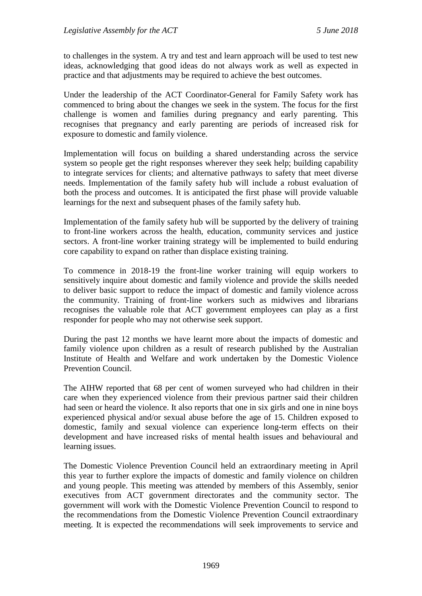to challenges in the system. A try and test and learn approach will be used to test new ideas, acknowledging that good ideas do not always work as well as expected in practice and that adjustments may be required to achieve the best outcomes.

Under the leadership of the ACT Coordinator-General for Family Safety work has commenced to bring about the changes we seek in the system. The focus for the first challenge is women and families during pregnancy and early parenting. This recognises that pregnancy and early parenting are periods of increased risk for exposure to domestic and family violence.

Implementation will focus on building a shared understanding across the service system so people get the right responses wherever they seek help; building capability to integrate services for clients; and alternative pathways to safety that meet diverse needs. Implementation of the family safety hub will include a robust evaluation of both the process and outcomes. It is anticipated the first phase will provide valuable learnings for the next and subsequent phases of the family safety hub.

Implementation of the family safety hub will be supported by the delivery of training to front-line workers across the health, education, community services and justice sectors. A front-line worker training strategy will be implemented to build enduring core capability to expand on rather than displace existing training.

To commence in 2018-19 the front-line worker training will equip workers to sensitively inquire about domestic and family violence and provide the skills needed to deliver basic support to reduce the impact of domestic and family violence across the community. Training of front-line workers such as midwives and librarians recognises the valuable role that ACT government employees can play as a first responder for people who may not otherwise seek support.

During the past 12 months we have learnt more about the impacts of domestic and family violence upon children as a result of research published by the Australian Institute of Health and Welfare and work undertaken by the Domestic Violence Prevention Council.

The AIHW reported that 68 per cent of women surveyed who had children in their care when they experienced violence from their previous partner said their children had seen or heard the violence. It also reports that one in six girls and one in nine boys experienced physical and/or sexual abuse before the age of 15. Children exposed to domestic, family and sexual violence can experience long-term effects on their development and have increased risks of mental health issues and behavioural and learning issues.

The Domestic Violence Prevention Council held an extraordinary meeting in April this year to further explore the impacts of domestic and family violence on children and young people. This meeting was attended by members of this Assembly, senior executives from ACT government directorates and the community sector. The government will work with the Domestic Violence Prevention Council to respond to the recommendations from the Domestic Violence Prevention Council extraordinary meeting. It is expected the recommendations will seek improvements to service and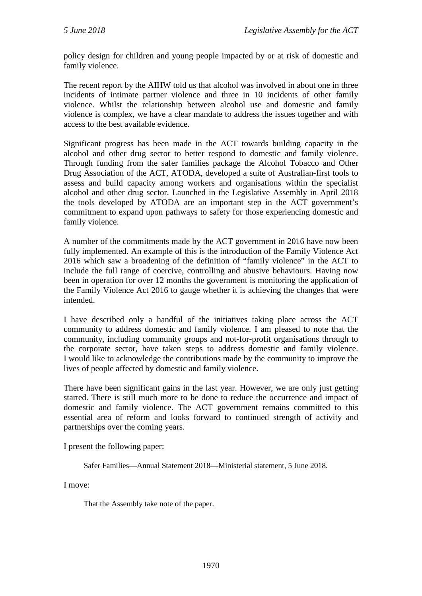policy design for children and young people impacted by or at risk of domestic and family violence.

The recent report by the AIHW told us that alcohol was involved in about one in three incidents of intimate partner violence and three in 10 incidents of other family violence. Whilst the relationship between alcohol use and domestic and family violence is complex, we have a clear mandate to address the issues together and with access to the best available evidence.

Significant progress has been made in the ACT towards building capacity in the alcohol and other drug sector to better respond to domestic and family violence. Through funding from the safer families package the Alcohol Tobacco and Other Drug Association of the ACT, ATODA, developed a suite of Australian-first tools to assess and build capacity among workers and organisations within the specialist alcohol and other drug sector. Launched in the Legislative Assembly in April 2018 the tools developed by ATODA are an important step in the ACT government's commitment to expand upon pathways to safety for those experiencing domestic and family violence.

A number of the commitments made by the ACT government in 2016 have now been fully implemented. An example of this is the introduction of the Family Violence Act 2016 which saw a broadening of the definition of "family violence" in the ACT to include the full range of coercive, controlling and abusive behaviours. Having now been in operation for over 12 months the government is monitoring the application of the Family Violence Act 2016 to gauge whether it is achieving the changes that were intended.

I have described only a handful of the initiatives taking place across the ACT community to address domestic and family violence. I am pleased to note that the community, including community groups and not-for-profit organisations through to the corporate sector, have taken steps to address domestic and family violence. I would like to acknowledge the contributions made by the community to improve the lives of people affected by domestic and family violence.

There have been significant gains in the last year. However, we are only just getting started. There is still much more to be done to reduce the occurrence and impact of domestic and family violence. The ACT government remains committed to this essential area of reform and looks forward to continued strength of activity and partnerships over the coming years.

I present the following paper:

Safer Families—Annual Statement 2018—Ministerial statement, 5 June 2018.

I move:

That the Assembly take note of the paper.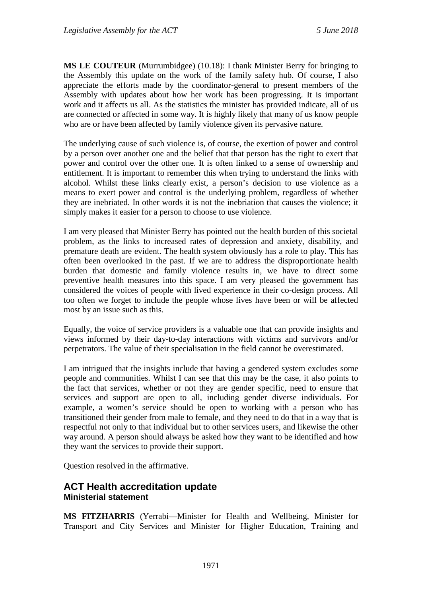**MS LE COUTEUR** (Murrumbidgee) (10.18): I thank Minister Berry for bringing to the Assembly this update on the work of the family safety hub. Of course, I also appreciate the efforts made by the coordinator-general to present members of the Assembly with updates about how her work has been progressing. It is important work and it affects us all. As the statistics the minister has provided indicate, all of us are connected or affected in some way. It is highly likely that many of us know people who are or have been affected by family violence given its pervasive nature.

The underlying cause of such violence is, of course, the exertion of power and control by a person over another one and the belief that that person has the right to exert that power and control over the other one. It is often linked to a sense of ownership and entitlement. It is important to remember this when trying to understand the links with alcohol. Whilst these links clearly exist, a person's decision to use violence as a means to exert power and control is the underlying problem, regardless of whether they are inebriated. In other words it is not the inebriation that causes the violence; it simply makes it easier for a person to choose to use violence.

I am very pleased that Minister Berry has pointed out the health burden of this societal problem, as the links to increased rates of depression and anxiety, disability, and premature death are evident. The health system obviously has a role to play. This has often been overlooked in the past. If we are to address the disproportionate health burden that domestic and family violence results in, we have to direct some preventive health measures into this space. I am very pleased the government has considered the voices of people with lived experience in their co-design process. All too often we forget to include the people whose lives have been or will be affected most by an issue such as this.

Equally, the voice of service providers is a valuable one that can provide insights and views informed by their day-to-day interactions with victims and survivors and/or perpetrators. The value of their specialisation in the field cannot be overestimated.

I am intrigued that the insights include that having a gendered system excludes some people and communities. Whilst I can see that this may be the case, it also points to the fact that services, whether or not they are gender specific, need to ensure that services and support are open to all, including gender diverse individuals. For example, a women's service should be open to working with a person who has transitioned their gender from male to female, and they need to do that in a way that is respectful not only to that individual but to other services users, and likewise the other way around. A person should always be asked how they want to be identified and how they want the services to provide their support.

Question resolved in the affirmative.

## <span id="page-8-1"></span><span id="page-8-0"></span>**ACT Health accreditation update Ministerial statement**

**MS FITZHARRIS** (Yerrabi—Minister for Health and Wellbeing, Minister for Transport and City Services and Minister for Higher Education, Training and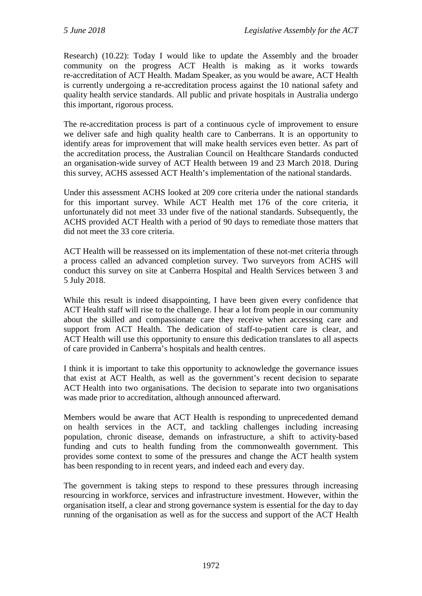Research) (10.22): Today I would like to update the Assembly and the broader community on the progress ACT Health is making as it works towards re-accreditation of ACT Health. Madam Speaker, as you would be aware, ACT Health is currently undergoing a re-accreditation process against the 10 national safety and quality health service standards. All public and private hospitals in Australia undergo this important, rigorous process.

The re-accreditation process is part of a continuous cycle of improvement to ensure we deliver safe and high quality health care to Canberrans. It is an opportunity to identify areas for improvement that will make health services even better. As part of the accreditation process, the Australian Council on Healthcare Standards conducted an organisation-wide survey of ACT Health between 19 and 23 March 2018. During this survey, ACHS assessed ACT Health's implementation of the national standards.

Under this assessment ACHS looked at 209 core criteria under the national standards for this important survey. While ACT Health met 176 of the core criteria, it unfortunately did not meet 33 under five of the national standards. Subsequently, the ACHS provided ACT Health with a period of 90 days to remediate those matters that did not meet the 33 core criteria.

ACT Health will be reassessed on its implementation of these not-met criteria through a process called an advanced completion survey. Two surveyors from ACHS will conduct this survey on site at Canberra Hospital and Health Services between 3 and 5 July 2018.

While this result is indeed disappointing, I have been given every confidence that ACT Health staff will rise to the challenge. I hear a lot from people in our community about the skilled and compassionate care they receive when accessing care and support from ACT Health. The dedication of staff-to-patient care is clear, and ACT Health will use this opportunity to ensure this dedication translates to all aspects of care provided in Canberra's hospitals and health centres.

I think it is important to take this opportunity to acknowledge the governance issues that exist at ACT Health, as well as the government's recent decision to separate ACT Health into two organisations. The decision to separate into two organisations was made prior to accreditation, although announced afterward.

Members would be aware that ACT Health is responding to unprecedented demand on health services in the ACT, and tackling challenges including increasing population, chronic disease, demands on infrastructure, a shift to activity-based funding and cuts to health funding from the commonwealth government. This provides some context to some of the pressures and change the ACT health system has been responding to in recent years, and indeed each and every day.

The government is taking steps to respond to these pressures through increasing resourcing in workforce, services and infrastructure investment. However, within the organisation itself, a clear and strong governance system is essential for the day to day running of the organisation as well as for the success and support of the ACT Health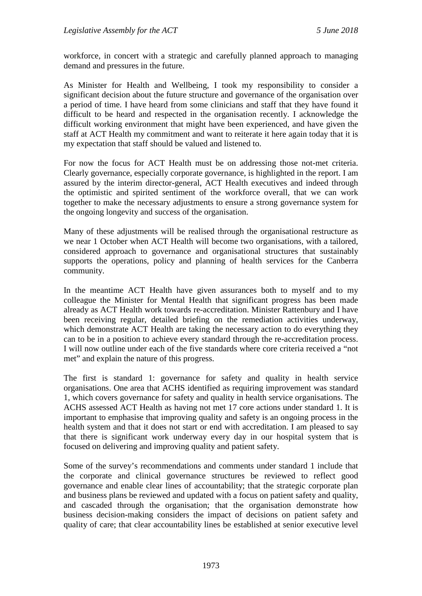workforce, in concert with a strategic and carefully planned approach to managing demand and pressures in the future.

As Minister for Health and Wellbeing, I took my responsibility to consider a significant decision about the future structure and governance of the organisation over a period of time. I have heard from some clinicians and staff that they have found it difficult to be heard and respected in the organisation recently. I acknowledge the difficult working environment that might have been experienced, and have given the staff at ACT Health my commitment and want to reiterate it here again today that it is my expectation that staff should be valued and listened to.

For now the focus for ACT Health must be on addressing those not-met criteria. Clearly governance, especially corporate governance, is highlighted in the report. I am assured by the interim director-general, ACT Health executives and indeed through the optimistic and spirited sentiment of the workforce overall, that we can work together to make the necessary adjustments to ensure a strong governance system for the ongoing longevity and success of the organisation.

Many of these adjustments will be realised through the organisational restructure as we near 1 October when ACT Health will become two organisations, with a tailored, considered approach to governance and organisational structures that sustainably supports the operations, policy and planning of health services for the Canberra community.

In the meantime ACT Health have given assurances both to myself and to my colleague the Minister for Mental Health that significant progress has been made already as ACT Health work towards re-accreditation. Minister Rattenbury and I have been receiving regular, detailed briefing on the remediation activities underway, which demonstrate ACT Health are taking the necessary action to do everything they can to be in a position to achieve every standard through the re-accreditation process. I will now outline under each of the five standards where core criteria received a "not met" and explain the nature of this progress.

The first is standard 1: governance for safety and quality in health service organisations. One area that ACHS identified as requiring improvement was standard 1, which covers governance for safety and quality in health service organisations. The ACHS assessed ACT Health as having not met 17 core actions under standard 1. It is important to emphasise that improving quality and safety is an ongoing process in the health system and that it does not start or end with accreditation. I am pleased to say that there is significant work underway every day in our hospital system that is focused on delivering and improving quality and patient safety.

Some of the survey's recommendations and comments under standard 1 include that the corporate and clinical governance structures be reviewed to reflect good governance and enable clear lines of accountability; that the strategic corporate plan and business plans be reviewed and updated with a focus on patient safety and quality, and cascaded through the organisation; that the organisation demonstrate how business decision-making considers the impact of decisions on patient safety and quality of care; that clear accountability lines be established at senior executive level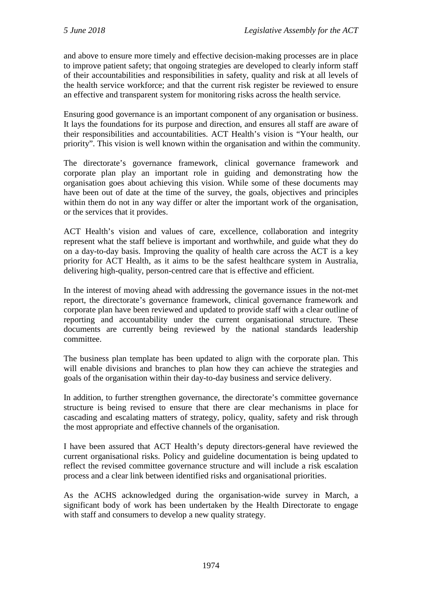and above to ensure more timely and effective decision-making processes are in place to improve patient safety; that ongoing strategies are developed to clearly inform staff of their accountabilities and responsibilities in safety, quality and risk at all levels of the health service workforce; and that the current risk register be reviewed to ensure an effective and transparent system for monitoring risks across the health service.

Ensuring good governance is an important component of any organisation or business. It lays the foundations for its purpose and direction, and ensures all staff are aware of their responsibilities and accountabilities. ACT Health's vision is "Your health, our priority". This vision is well known within the organisation and within the community.

The directorate's governance framework, clinical governance framework and corporate plan play an important role in guiding and demonstrating how the organisation goes about achieving this vision. While some of these documents may have been out of date at the time of the survey, the goals, objectives and principles within them do not in any way differ or alter the important work of the organisation, or the services that it provides.

ACT Health's vision and values of care, excellence, collaboration and integrity represent what the staff believe is important and worthwhile, and guide what they do on a day-to-day basis. Improving the quality of health care across the ACT is a key priority for ACT Health, as it aims to be the safest healthcare system in Australia, delivering high-quality, person-centred care that is effective and efficient.

In the interest of moving ahead with addressing the governance issues in the not-met report, the directorate's governance framework, clinical governance framework and corporate plan have been reviewed and updated to provide staff with a clear outline of reporting and accountability under the current organisational structure. These documents are currently being reviewed by the national standards leadership committee.

The business plan template has been updated to align with the corporate plan. This will enable divisions and branches to plan how they can achieve the strategies and goals of the organisation within their day-to-day business and service delivery.

In addition, to further strengthen governance, the directorate's committee governance structure is being revised to ensure that there are clear mechanisms in place for cascading and escalating matters of strategy, policy, quality, safety and risk through the most appropriate and effective channels of the organisation.

I have been assured that ACT Health's deputy directors-general have reviewed the current organisational risks. Policy and guideline documentation is being updated to reflect the revised committee governance structure and will include a risk escalation process and a clear link between identified risks and organisational priorities.

As the ACHS acknowledged during the organisation-wide survey in March, a significant body of work has been undertaken by the Health Directorate to engage with staff and consumers to develop a new quality strategy.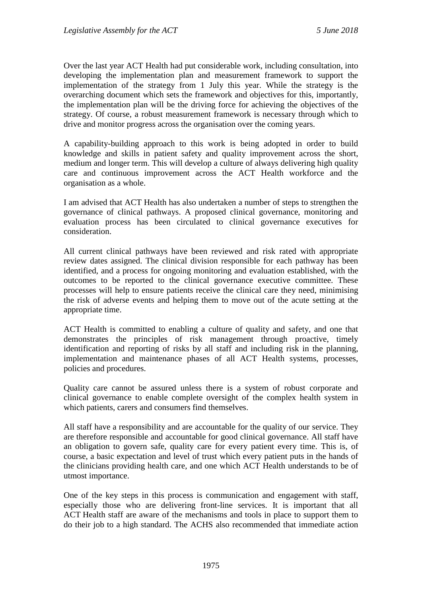Over the last year ACT Health had put considerable work, including consultation, into developing the implementation plan and measurement framework to support the implementation of the strategy from 1 July this year. While the strategy is the overarching document which sets the framework and objectives for this, importantly, the implementation plan will be the driving force for achieving the objectives of the strategy. Of course, a robust measurement framework is necessary through which to drive and monitor progress across the organisation over the coming years.

A capability-building approach to this work is being adopted in order to build knowledge and skills in patient safety and quality improvement across the short, medium and longer term. This will develop a culture of always delivering high quality care and continuous improvement across the ACT Health workforce and the organisation as a whole.

I am advised that ACT Health has also undertaken a number of steps to strengthen the governance of clinical pathways. A proposed clinical governance, monitoring and evaluation process has been circulated to clinical governance executives for consideration.

All current clinical pathways have been reviewed and risk rated with appropriate review dates assigned. The clinical division responsible for each pathway has been identified, and a process for ongoing monitoring and evaluation established, with the outcomes to be reported to the clinical governance executive committee. These processes will help to ensure patients receive the clinical care they need, minimising the risk of adverse events and helping them to move out of the acute setting at the appropriate time.

ACT Health is committed to enabling a culture of quality and safety, and one that demonstrates the principles of risk management through proactive, timely identification and reporting of risks by all staff and including risk in the planning, implementation and maintenance phases of all ACT Health systems, processes, policies and procedures.

Quality care cannot be assured unless there is a system of robust corporate and clinical governance to enable complete oversight of the complex health system in which patients, carers and consumers find themselves.

All staff have a responsibility and are accountable for the quality of our service. They are therefore responsible and accountable for good clinical governance. All staff have an obligation to govern safe, quality care for every patient every time. This is, of course, a basic expectation and level of trust which every patient puts in the hands of the clinicians providing health care, and one which ACT Health understands to be of utmost importance.

One of the key steps in this process is communication and engagement with staff, especially those who are delivering front-line services. It is important that all ACT Health staff are aware of the mechanisms and tools in place to support them to do their job to a high standard. The ACHS also recommended that immediate action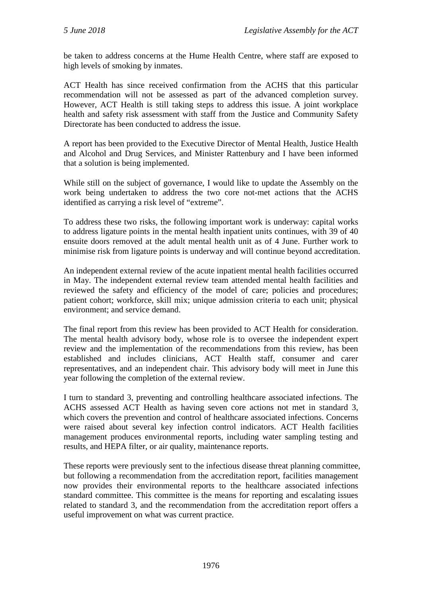be taken to address concerns at the Hume Health Centre, where staff are exposed to high levels of smoking by inmates.

ACT Health has since received confirmation from the ACHS that this particular recommendation will not be assessed as part of the advanced completion survey. However, ACT Health is still taking steps to address this issue. A joint workplace health and safety risk assessment with staff from the Justice and Community Safety Directorate has been conducted to address the issue.

A report has been provided to the Executive Director of Mental Health, Justice Health and Alcohol and Drug Services, and Minister Rattenbury and I have been informed that a solution is being implemented.

While still on the subject of governance, I would like to update the Assembly on the work being undertaken to address the two core not-met actions that the ACHS identified as carrying a risk level of "extreme".

To address these two risks, the following important work is underway: capital works to address ligature points in the mental health inpatient units continues, with 39 of 40 ensuite doors removed at the adult mental health unit as of 4 June. Further work to minimise risk from ligature points is underway and will continue beyond accreditation.

An independent external review of the acute inpatient mental health facilities occurred in May. The independent external review team attended mental health facilities and reviewed the safety and efficiency of the model of care; policies and procedures; patient cohort; workforce, skill mix; unique admission criteria to each unit; physical environment; and service demand.

The final report from this review has been provided to ACT Health for consideration. The mental health advisory body, whose role is to oversee the independent expert review and the implementation of the recommendations from this review, has been established and includes clinicians, ACT Health staff, consumer and carer representatives, and an independent chair. This advisory body will meet in June this year following the completion of the external review.

I turn to standard 3, preventing and controlling healthcare associated infections. The ACHS assessed ACT Health as having seven core actions not met in standard 3, which covers the prevention and control of healthcare associated infections. Concerns were raised about several key infection control indicators. ACT Health facilities management produces environmental reports, including water sampling testing and results, and HEPA filter, or air quality, maintenance reports.

These reports were previously sent to the infectious disease threat planning committee, but following a recommendation from the accreditation report, facilities management now provides their environmental reports to the healthcare associated infections standard committee. This committee is the means for reporting and escalating issues related to standard 3, and the recommendation from the accreditation report offers a useful improvement on what was current practice.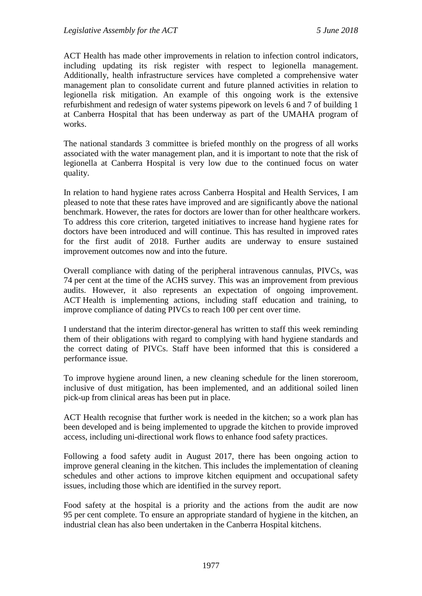ACT Health has made other improvements in relation to infection control indicators, including updating its risk register with respect to legionella management. Additionally, health infrastructure services have completed a comprehensive water management plan to consolidate current and future planned activities in relation to legionella risk mitigation. An example of this ongoing work is the extensive refurbishment and redesign of water systems pipework on levels 6 and 7 of building 1 at Canberra Hospital that has been underway as part of the UMAHA program of works.

The national standards 3 committee is briefed monthly on the progress of all works associated with the water management plan, and it is important to note that the risk of legionella at Canberra Hospital is very low due to the continued focus on water quality.

In relation to hand hygiene rates across Canberra Hospital and Health Services, I am pleased to note that these rates have improved and are significantly above the national benchmark. However, the rates for doctors are lower than for other healthcare workers. To address this core criterion, targeted initiatives to increase hand hygiene rates for doctors have been introduced and will continue. This has resulted in improved rates for the first audit of 2018. Further audits are underway to ensure sustained improvement outcomes now and into the future.

Overall compliance with dating of the peripheral intravenous cannulas, PIVCs, was 74 per cent at the time of the ACHS survey. This was an improvement from previous audits. However, it also represents an expectation of ongoing improvement. ACT Health is implementing actions, including staff education and training, to improve compliance of dating PIVCs to reach 100 per cent over time.

I understand that the interim director-general has written to staff this week reminding them of their obligations with regard to complying with hand hygiene standards and the correct dating of PIVCs. Staff have been informed that this is considered a performance issue.

To improve hygiene around linen, a new cleaning schedule for the linen storeroom, inclusive of dust mitigation, has been implemented, and an additional soiled linen pick-up from clinical areas has been put in place.

ACT Health recognise that further work is needed in the kitchen; so a work plan has been developed and is being implemented to upgrade the kitchen to provide improved access, including uni-directional work flows to enhance food safety practices.

Following a food safety audit in August 2017, there has been ongoing action to improve general cleaning in the kitchen. This includes the implementation of cleaning schedules and other actions to improve kitchen equipment and occupational safety issues, including those which are identified in the survey report.

Food safety at the hospital is a priority and the actions from the audit are now 95 per cent complete. To ensure an appropriate standard of hygiene in the kitchen, an industrial clean has also been undertaken in the Canberra Hospital kitchens.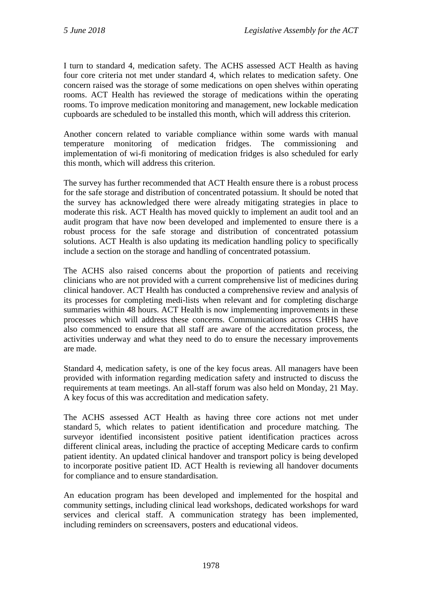I turn to standard 4, medication safety. The ACHS assessed ACT Health as having four core criteria not met under standard 4, which relates to medication safety. One concern raised was the storage of some medications on open shelves within operating rooms. ACT Health has reviewed the storage of medications within the operating rooms. To improve medication monitoring and management, new lockable medication cupboards are scheduled to be installed this month, which will address this criterion.

Another concern related to variable compliance within some wards with manual temperature monitoring of medication fridges. The commissioning and implementation of wi-fi monitoring of medication fridges is also scheduled for early this month, which will address this criterion.

The survey has further recommended that ACT Health ensure there is a robust process for the safe storage and distribution of concentrated potassium. It should be noted that the survey has acknowledged there were already mitigating strategies in place to moderate this risk. ACT Health has moved quickly to implement an audit tool and an audit program that have now been developed and implemented to ensure there is a robust process for the safe storage and distribution of concentrated potassium solutions. ACT Health is also updating its medication handling policy to specifically include a section on the storage and handling of concentrated potassium.

The ACHS also raised concerns about the proportion of patients and receiving clinicians who are not provided with a current comprehensive list of medicines during clinical handover. ACT Health has conducted a comprehensive review and analysis of its processes for completing medi-lists when relevant and for completing discharge summaries within 48 hours. ACT Health is now implementing improvements in these processes which will address these concerns. Communications across CHHS have also commenced to ensure that all staff are aware of the accreditation process, the activities underway and what they need to do to ensure the necessary improvements are made.

Standard 4, medication safety, is one of the key focus areas. All managers have been provided with information regarding medication safety and instructed to discuss the requirements at team meetings. An all-staff forum was also held on Monday, 21 May. A key focus of this was accreditation and medication safety.

The ACHS assessed ACT Health as having three core actions not met under standard 5, which relates to patient identification and procedure matching. The surveyor identified inconsistent positive patient identification practices across different clinical areas, including the practice of accepting Medicare cards to confirm patient identity. An updated clinical handover and transport policy is being developed to incorporate positive patient ID. ACT Health is reviewing all handover documents for compliance and to ensure standardisation.

An education program has been developed and implemented for the hospital and community settings, including clinical lead workshops, dedicated workshops for ward services and clerical staff. A communication strategy has been implemented, including reminders on screensavers, posters and educational videos.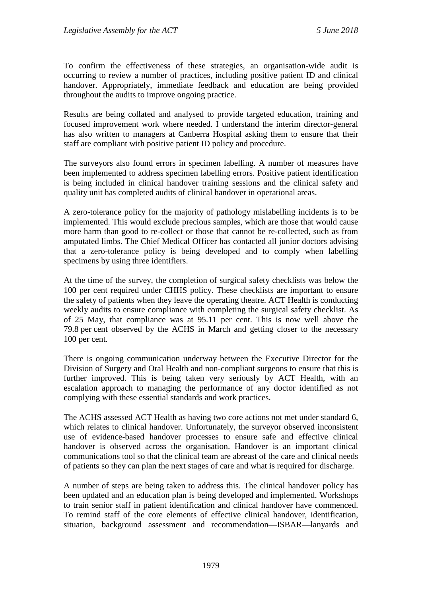To confirm the effectiveness of these strategies, an organisation-wide audit is occurring to review a number of practices, including positive patient ID and clinical handover. Appropriately, immediate feedback and education are being provided throughout the audits to improve ongoing practice.

Results are being collated and analysed to provide targeted education, training and focused improvement work where needed. I understand the interim director-general has also written to managers at Canberra Hospital asking them to ensure that their staff are compliant with positive patient ID policy and procedure.

The surveyors also found errors in specimen labelling. A number of measures have been implemented to address specimen labelling errors. Positive patient identification is being included in clinical handover training sessions and the clinical safety and quality unit has completed audits of clinical handover in operational areas.

A zero-tolerance policy for the majority of pathology mislabelling incidents is to be implemented. This would exclude precious samples, which are those that would cause more harm than good to re-collect or those that cannot be re-collected, such as from amputated limbs. The Chief Medical Officer has contacted all junior doctors advising that a zero-tolerance policy is being developed and to comply when labelling specimens by using three identifiers.

At the time of the survey, the completion of surgical safety checklists was below the 100 per cent required under CHHS policy. These checklists are important to ensure the safety of patients when they leave the operating theatre. ACT Health is conducting weekly audits to ensure compliance with completing the surgical safety checklist. As of 25 May, that compliance was at 95.11 per cent. This is now well above the 79.8 per cent observed by the ACHS in March and getting closer to the necessary 100 per cent.

There is ongoing communication underway between the Executive Director for the Division of Surgery and Oral Health and non-compliant surgeons to ensure that this is further improved. This is being taken very seriously by ACT Health, with an escalation approach to managing the performance of any doctor identified as not complying with these essential standards and work practices.

The ACHS assessed ACT Health as having two core actions not met under standard 6, which relates to clinical handover. Unfortunately, the surveyor observed inconsistent use of evidence-based handover processes to ensure safe and effective clinical handover is observed across the organisation. Handover is an important clinical communications tool so that the clinical team are abreast of the care and clinical needs of patients so they can plan the next stages of care and what is required for discharge.

A number of steps are being taken to address this. The clinical handover policy has been updated and an education plan is being developed and implemented. Workshops to train senior staff in patient identification and clinical handover have commenced. To remind staff of the core elements of effective clinical handover, identification, situation, background assessment and recommendation—ISBAR—lanyards and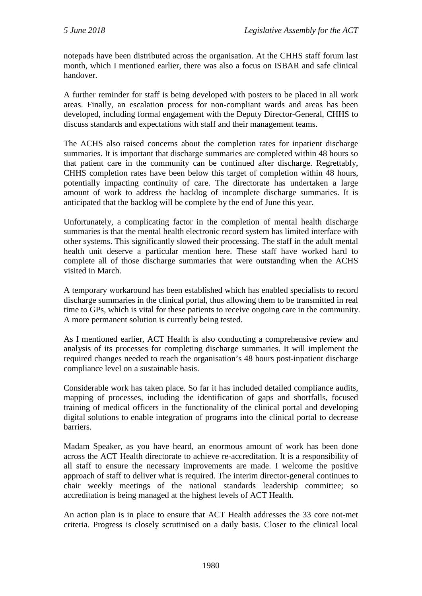notepads have been distributed across the organisation. At the CHHS staff forum last month, which I mentioned earlier, there was also a focus on ISBAR and safe clinical handover.

A further reminder for staff is being developed with posters to be placed in all work areas. Finally, an escalation process for non-compliant wards and areas has been developed, including formal engagement with the Deputy Director-General, CHHS to discuss standards and expectations with staff and their management teams.

The ACHS also raised concerns about the completion rates for inpatient discharge summaries. It is important that discharge summaries are completed within 48 hours so that patient care in the community can be continued after discharge. Regrettably, CHHS completion rates have been below this target of completion within 48 hours, potentially impacting continuity of care. The directorate has undertaken a large amount of work to address the backlog of incomplete discharge summaries. It is anticipated that the backlog will be complete by the end of June this year.

Unfortunately, a complicating factor in the completion of mental health discharge summaries is that the mental health electronic record system has limited interface with other systems. This significantly slowed their processing. The staff in the adult mental health unit deserve a particular mention here. These staff have worked hard to complete all of those discharge summaries that were outstanding when the ACHS visited in March.

A temporary workaround has been established which has enabled specialists to record discharge summaries in the clinical portal, thus allowing them to be transmitted in real time to GPs, which is vital for these patients to receive ongoing care in the community. A more permanent solution is currently being tested.

As I mentioned earlier, ACT Health is also conducting a comprehensive review and analysis of its processes for completing discharge summaries. It will implement the required changes needed to reach the organisation's 48 hours post-inpatient discharge compliance level on a sustainable basis.

Considerable work has taken place. So far it has included detailed compliance audits, mapping of processes, including the identification of gaps and shortfalls, focused training of medical officers in the functionality of the clinical portal and developing digital solutions to enable integration of programs into the clinical portal to decrease barriers.

Madam Speaker, as you have heard, an enormous amount of work has been done across the ACT Health directorate to achieve re-accreditation. It is a responsibility of all staff to ensure the necessary improvements are made. I welcome the positive approach of staff to deliver what is required. The interim director-general continues to chair weekly meetings of the national standards leadership committee; so accreditation is being managed at the highest levels of ACT Health.

An action plan is in place to ensure that ACT Health addresses the 33 core not-met criteria. Progress is closely scrutinised on a daily basis. Closer to the clinical local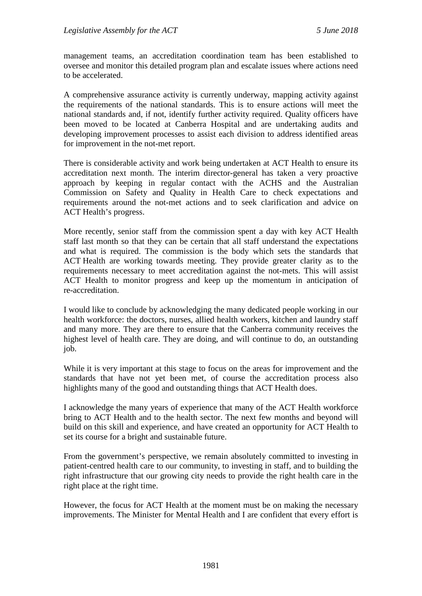management teams, an accreditation coordination team has been established to oversee and monitor this detailed program plan and escalate issues where actions need to be accelerated.

A comprehensive assurance activity is currently underway, mapping activity against the requirements of the national standards. This is to ensure actions will meet the national standards and, if not, identify further activity required. Quality officers have been moved to be located at Canberra Hospital and are undertaking audits and developing improvement processes to assist each division to address identified areas for improvement in the not-met report.

There is considerable activity and work being undertaken at ACT Health to ensure its accreditation next month. The interim director-general has taken a very proactive approach by keeping in regular contact with the ACHS and the Australian Commission on Safety and Quality in Health Care to check expectations and requirements around the not-met actions and to seek clarification and advice on ACT Health's progress.

More recently, senior staff from the commission spent a day with key ACT Health staff last month so that they can be certain that all staff understand the expectations and what is required. The commission is the body which sets the standards that ACT Health are working towards meeting. They provide greater clarity as to the requirements necessary to meet accreditation against the not-mets. This will assist ACT Health to monitor progress and keep up the momentum in anticipation of re-accreditation.

I would like to conclude by acknowledging the many dedicated people working in our health workforce: the doctors, nurses, allied health workers, kitchen and laundry staff and many more. They are there to ensure that the Canberra community receives the highest level of health care. They are doing, and will continue to do, an outstanding job.

While it is very important at this stage to focus on the areas for improvement and the standards that have not yet been met, of course the accreditation process also highlights many of the good and outstanding things that ACT Health does.

I acknowledge the many years of experience that many of the ACT Health workforce bring to ACT Health and to the health sector. The next few months and beyond will build on this skill and experience, and have created an opportunity for ACT Health to set its course for a bright and sustainable future.

From the government's perspective, we remain absolutely committed to investing in patient-centred health care to our community, to investing in staff, and to building the right infrastructure that our growing city needs to provide the right health care in the right place at the right time.

However, the focus for ACT Health at the moment must be on making the necessary improvements. The Minister for Mental Health and I are confident that every effort is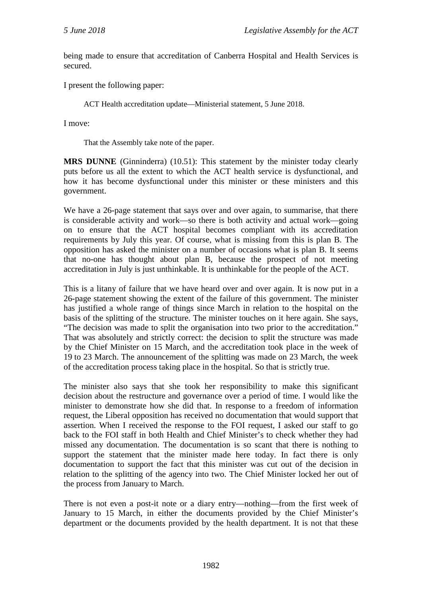being made to ensure that accreditation of Canberra Hospital and Health Services is secured.

I present the following paper:

ACT Health accreditation update—Ministerial statement, 5 June 2018.

I move:

That the Assembly take note of the paper.

**MRS DUNNE** (Ginninderra) (10.51): This statement by the minister today clearly puts before us all the extent to which the ACT health service is dysfunctional, and how it has become dysfunctional under this minister or these ministers and this government.

We have a 26-page statement that says over and over again, to summarise, that there is considerable activity and work—so there is both activity and actual work—going on to ensure that the ACT hospital becomes compliant with its accreditation requirements by July this year. Of course, what is missing from this is plan B. The opposition has asked the minister on a number of occasions what is plan B. It seems that no-one has thought about plan B, because the prospect of not meeting accreditation in July is just unthinkable. It is unthinkable for the people of the ACT.

This is a litany of failure that we have heard over and over again. It is now put in a 26-page statement showing the extent of the failure of this government. The minister has justified a whole range of things since March in relation to the hospital on the basis of the splitting of the structure. The minister touches on it here again. She says, "The decision was made to split the organisation into two prior to the accreditation." That was absolutely and strictly correct: the decision to split the structure was made by the Chief Minister on 15 March, and the accreditation took place in the week of 19 to 23 March. The announcement of the splitting was made on 23 March, the week of the accreditation process taking place in the hospital. So that is strictly true.

The minister also says that she took her responsibility to make this significant decision about the restructure and governance over a period of time. I would like the minister to demonstrate how she did that. In response to a freedom of information request, the Liberal opposition has received no documentation that would support that assertion. When I received the response to the FOI request, I asked our staff to go back to the FOI staff in both Health and Chief Minister's to check whether they had missed any documentation. The documentation is so scant that there is nothing to support the statement that the minister made here today. In fact there is only documentation to support the fact that this minister was cut out of the decision in relation to the splitting of the agency into two. The Chief Minister locked her out of the process from January to March.

There is not even a post-it note or a diary entry—nothing—from the first week of January to 15 March, in either the documents provided by the Chief Minister's department or the documents provided by the health department. It is not that these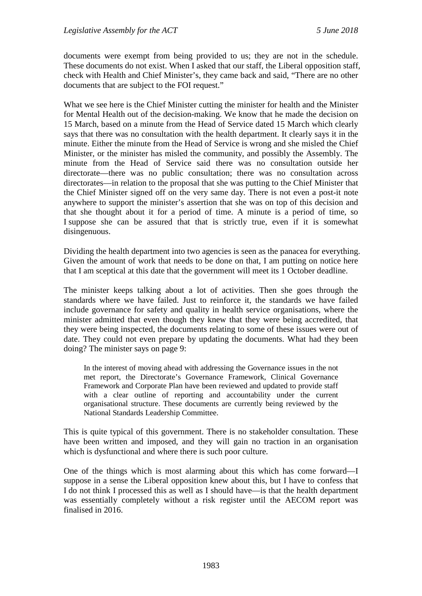documents were exempt from being provided to us; they are not in the schedule. These documents do not exist. When I asked that our staff, the Liberal opposition staff, check with Health and Chief Minister's, they came back and said, "There are no other documents that are subject to the FOI request."

What we see here is the Chief Minister cutting the minister for health and the Minister for Mental Health out of the decision-making. We know that he made the decision on 15 March, based on a minute from the Head of Service dated 15 March which clearly says that there was no consultation with the health department. It clearly says it in the minute. Either the minute from the Head of Service is wrong and she misled the Chief Minister, or the minister has misled the community, and possibly the Assembly. The minute from the Head of Service said there was no consultation outside her directorate—there was no public consultation; there was no consultation across directorates—in relation to the proposal that she was putting to the Chief Minister that the Chief Minister signed off on the very same day. There is not even a post-it note anywhere to support the minister's assertion that she was on top of this decision and that she thought about it for a period of time. A minute is a period of time, so I suppose she can be assured that that is strictly true, even if it is somewhat disingenuous.

Dividing the health department into two agencies is seen as the panacea for everything. Given the amount of work that needs to be done on that, I am putting on notice here that I am sceptical at this date that the government will meet its 1 October deadline.

The minister keeps talking about a lot of activities. Then she goes through the standards where we have failed. Just to reinforce it, the standards we have failed include governance for safety and quality in health service organisations, where the minister admitted that even though they knew that they were being accredited, that they were being inspected, the documents relating to some of these issues were out of date. They could not even prepare by updating the documents. What had they been doing? The minister says on page 9:

In the interest of moving ahead with addressing the Governance issues in the not met report, the Directorate's Governance Framework, Clinical Governance Framework and Corporate Plan have been reviewed and updated to provide staff with a clear outline of reporting and accountability under the current organisational structure. These documents are currently being reviewed by the National Standards Leadership Committee.

This is quite typical of this government. There is no stakeholder consultation. These have been written and imposed, and they will gain no traction in an organisation which is dysfunctional and where there is such poor culture.

One of the things which is most alarming about this which has come forward—I suppose in a sense the Liberal opposition knew about this, but I have to confess that I do not think I processed this as well as I should have—is that the health department was essentially completely without a risk register until the AECOM report was finalised in 2016.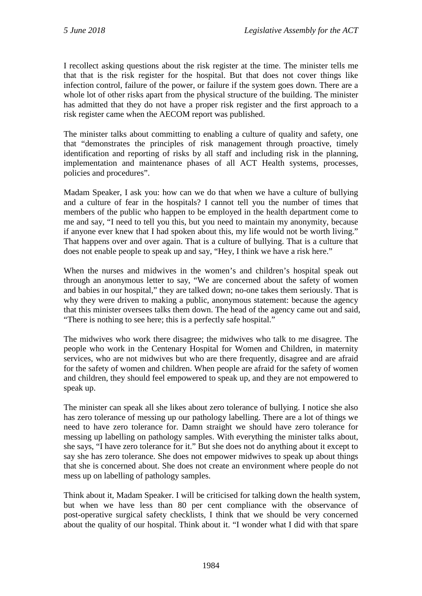I recollect asking questions about the risk register at the time. The minister tells me that that is the risk register for the hospital. But that does not cover things like infection control, failure of the power, or failure if the system goes down. There are a whole lot of other risks apart from the physical structure of the building. The minister has admitted that they do not have a proper risk register and the first approach to a risk register came when the AECOM report was published.

The minister talks about committing to enabling a culture of quality and safety, one that "demonstrates the principles of risk management through proactive, timely identification and reporting of risks by all staff and including risk in the planning, implementation and maintenance phases of all ACT Health systems, processes, policies and procedures".

Madam Speaker, I ask you: how can we do that when we have a culture of bullying and a culture of fear in the hospitals? I cannot tell you the number of times that members of the public who happen to be employed in the health department come to me and say, "I need to tell you this, but you need to maintain my anonymity, because if anyone ever knew that I had spoken about this, my life would not be worth living." That happens over and over again. That is a culture of bullying. That is a culture that does not enable people to speak up and say, "Hey, I think we have a risk here."

When the nurses and midwives in the women's and children's hospital speak out through an anonymous letter to say, "We are concerned about the safety of women and babies in our hospital," they are talked down; no-one takes them seriously. That is why they were driven to making a public, anonymous statement: because the agency that this minister oversees talks them down. The head of the agency came out and said, "There is nothing to see here; this is a perfectly safe hospital."

The midwives who work there disagree; the midwives who talk to me disagree. The people who work in the Centenary Hospital for Women and Children, in maternity services, who are not midwives but who are there frequently, disagree and are afraid for the safety of women and children. When people are afraid for the safety of women and children, they should feel empowered to speak up, and they are not empowered to speak up.

The minister can speak all she likes about zero tolerance of bullying. I notice she also has zero tolerance of messing up our pathology labelling. There are a lot of things we need to have zero tolerance for. Damn straight we should have zero tolerance for messing up labelling on pathology samples. With everything the minister talks about, she says, "I have zero tolerance for it." But she does not do anything about it except to say she has zero tolerance. She does not empower midwives to speak up about things that she is concerned about. She does not create an environment where people do not mess up on labelling of pathology samples.

Think about it, Madam Speaker. I will be criticised for talking down the health system, but when we have less than 80 per cent compliance with the observance of post-operative surgical safety checklists, I think that we should be very concerned about the quality of our hospital. Think about it. "I wonder what I did with that spare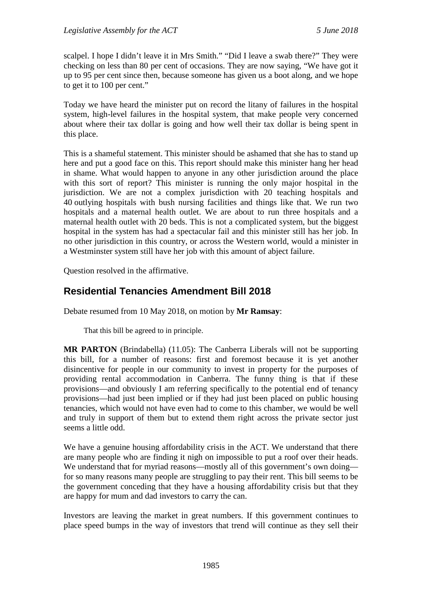scalpel. I hope I didn't leave it in Mrs Smith." "Did I leave a swab there?" They were checking on less than 80 per cent of occasions. They are now saying, "We have got it up to 95 per cent since then, because someone has given us a boot along, and we hope to get it to 100 per cent."

Today we have heard the minister put on record the litany of failures in the hospital system, high-level failures in the hospital system, that make people very concerned about where their tax dollar is going and how well their tax dollar is being spent in this place.

This is a shameful statement. This minister should be ashamed that she has to stand up here and put a good face on this. This report should make this minister hang her head in shame. What would happen to anyone in any other jurisdiction around the place with this sort of report? This minister is running the only major hospital in the jurisdiction. We are not a complex jurisdiction with 20 teaching hospitals and 40 outlying hospitals with bush nursing facilities and things like that. We run two hospitals and a maternal health outlet. We are about to run three hospitals and a maternal health outlet with 20 beds. This is not a complicated system, but the biggest hospital in the system has had a spectacular fail and this minister still has her job. In no other jurisdiction in this country, or across the Western world, would a minister in a Westminster system still have her job with this amount of abject failure.

Question resolved in the affirmative.

# <span id="page-22-0"></span>**Residential Tenancies Amendment Bill 2018**

Debate resumed from 10 May 2018, on motion by **Mr Ramsay**:

That this bill be agreed to in principle.

**MR PARTON** (Brindabella) (11.05): The Canberra Liberals will not be supporting this bill, for a number of reasons: first and foremost because it is yet another disincentive for people in our community to invest in property for the purposes of providing rental accommodation in Canberra. The funny thing is that if these provisions—and obviously I am referring specifically to the potential end of tenancy provisions—had just been implied or if they had just been placed on public housing tenancies, which would not have even had to come to this chamber, we would be well and truly in support of them but to extend them right across the private sector just seems a little odd.

We have a genuine housing affordability crisis in the ACT. We understand that there are many people who are finding it nigh on impossible to put a roof over their heads. We understand that for myriad reasons—mostly all of this government's own doing for so many reasons many people are struggling to pay their rent. This bill seems to be the government conceding that they have a housing affordability crisis but that they are happy for mum and dad investors to carry the can.

Investors are leaving the market in great numbers. If this government continues to place speed bumps in the way of investors that trend will continue as they sell their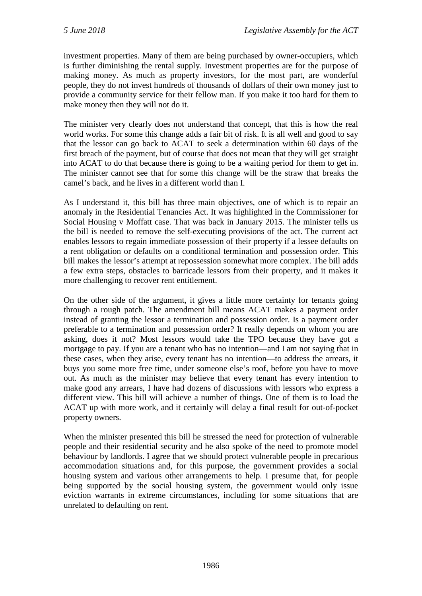investment properties. Many of them are being purchased by owner-occupiers, which is further diminishing the rental supply. Investment properties are for the purpose of making money. As much as property investors, for the most part, are wonderful people, they do not invest hundreds of thousands of dollars of their own money just to provide a community service for their fellow man. If you make it too hard for them to make money then they will not do it.

The minister very clearly does not understand that concept, that this is how the real world works. For some this change adds a fair bit of risk. It is all well and good to say that the lessor can go back to ACAT to seek a determination within 60 days of the first breach of the payment, but of course that does not mean that they will get straight into ACAT to do that because there is going to be a waiting period for them to get in. The minister cannot see that for some this change will be the straw that breaks the camel's back, and he lives in a different world than I.

As I understand it, this bill has three main objectives, one of which is to repair an anomaly in the Residential Tenancies Act. It was highlighted in the Commissioner for Social Housing v Moffatt case. That was back in January 2015. The minister tells us the bill is needed to remove the self-executing provisions of the act. The current act enables lessors to regain immediate possession of their property if a lessee defaults on a rent obligation or defaults on a conditional termination and possession order. This bill makes the lessor's attempt at repossession somewhat more complex. The bill adds a few extra steps, obstacles to barricade lessors from their property, and it makes it more challenging to recover rent entitlement.

On the other side of the argument, it gives a little more certainty for tenants going through a rough patch. The amendment bill means ACAT makes a payment order instead of granting the lessor a termination and possession order. Is a payment order preferable to a termination and possession order? It really depends on whom you are asking, does it not? Most lessors would take the TPO because they have got a mortgage to pay. If you are a tenant who has no intention—and I am not saying that in these cases, when they arise, every tenant has no intention—to address the arrears, it buys you some more free time, under someone else's roof, before you have to move out. As much as the minister may believe that every tenant has every intention to make good any arrears, I have had dozens of discussions with lessors who express a different view. This bill will achieve a number of things. One of them is to load the ACAT up with more work, and it certainly will delay a final result for out-of-pocket property owners.

When the minister presented this bill he stressed the need for protection of vulnerable people and their residential security and he also spoke of the need to promote model behaviour by landlords. I agree that we should protect vulnerable people in precarious accommodation situations and, for this purpose, the government provides a social housing system and various other arrangements to help. I presume that, for people being supported by the social housing system, the government would only issue eviction warrants in extreme circumstances, including for some situations that are unrelated to defaulting on rent.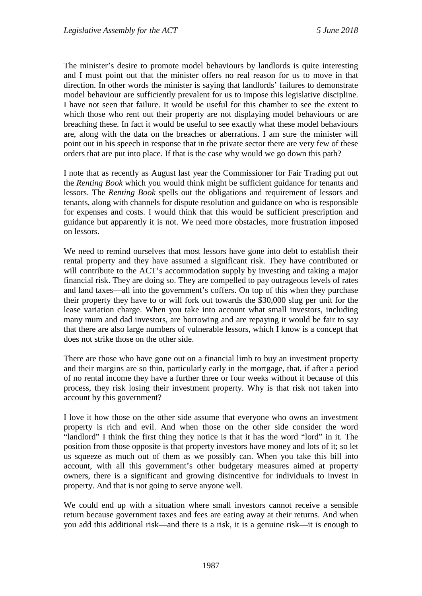The minister's desire to promote model behaviours by landlords is quite interesting and I must point out that the minister offers no real reason for us to move in that direction. In other words the minister is saying that landlords' failures to demonstrate model behaviour are sufficiently prevalent for us to impose this legislative discipline. I have not seen that failure. It would be useful for this chamber to see the extent to which those who rent out their property are not displaying model behaviours or are breaching these. In fact it would be useful to see exactly what these model behaviours are, along with the data on the breaches or aberrations. I am sure the minister will point out in his speech in response that in the private sector there are very few of these orders that are put into place. If that is the case why would we go down this path?

I note that as recently as August last year the Commissioner for Fair Trading put out the *Renting Book* which you would think might be sufficient guidance for tenants and lessors. The *Renting Book* spells out the obligations and requirement of lessors and tenants, along with channels for dispute resolution and guidance on who is responsible for expenses and costs. I would think that this would be sufficient prescription and guidance but apparently it is not. We need more obstacles, more frustration imposed on lessors.

We need to remind ourselves that most lessors have gone into debt to establish their rental property and they have assumed a significant risk. They have contributed or will contribute to the ACT's accommodation supply by investing and taking a major financial risk. They are doing so. They are compelled to pay outrageous levels of rates and land taxes—all into the government's coffers. On top of this when they purchase their property they have to or will fork out towards the \$30,000 slug per unit for the lease variation charge. When you take into account what small investors, including many mum and dad investors, are borrowing and are repaying it would be fair to say that there are also large numbers of vulnerable lessors, which I know is a concept that does not strike those on the other side.

There are those who have gone out on a financial limb to buy an investment property and their margins are so thin, particularly early in the mortgage, that, if after a period of no rental income they have a further three or four weeks without it because of this process, they risk losing their investment property. Why is that risk not taken into account by this government?

I love it how those on the other side assume that everyone who owns an investment property is rich and evil. And when those on the other side consider the word "landlord" I think the first thing they notice is that it has the word "lord" in it. The position from those opposite is that property investors have money and lots of it; so let us squeeze as much out of them as we possibly can. When you take this bill into account, with all this government's other budgetary measures aimed at property owners, there is a significant and growing disincentive for individuals to invest in property. And that is not going to serve anyone well.

We could end up with a situation where small investors cannot receive a sensible return because government taxes and fees are eating away at their returns. And when you add this additional risk—and there is a risk, it is a genuine risk—it is enough to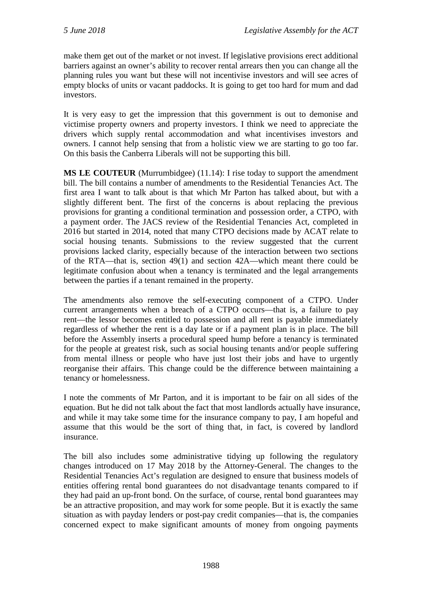make them get out of the market or not invest. If legislative provisions erect additional barriers against an owner's ability to recover rental arrears then you can change all the planning rules you want but these will not incentivise investors and will see acres of empty blocks of units or vacant paddocks. It is going to get too hard for mum and dad investors.

It is very easy to get the impression that this government is out to demonise and victimise property owners and property investors. I think we need to appreciate the drivers which supply rental accommodation and what incentivises investors and owners. I cannot help sensing that from a holistic view we are starting to go too far. On this basis the Canberra Liberals will not be supporting this bill.

**MS LE COUTEUR** (Murrumbidgee) (11.14): I rise today to support the amendment bill. The bill contains a number of amendments to the Residential Tenancies Act. The first area I want to talk about is that which Mr Parton has talked about, but with a slightly different bent. The first of the concerns is about replacing the previous provisions for granting a conditional termination and possession order, a CTPO, with a payment order. The JACS review of the Residential Tenancies Act, completed in 2016 but started in 2014, noted that many CTPO decisions made by ACAT relate to social housing tenants. Submissions to the review suggested that the current provisions lacked clarity, especially because of the interaction between two sections of the RTA—that is, section 49(1) and section 42A—which meant there could be legitimate confusion about when a tenancy is terminated and the legal arrangements between the parties if a tenant remained in the property.

The amendments also remove the self-executing component of a CTPO. Under current arrangements when a breach of a CTPO occurs—that is, a failure to pay rent—the lessor becomes entitled to possession and all rent is payable immediately regardless of whether the rent is a day late or if a payment plan is in place. The bill before the Assembly inserts a procedural speed hump before a tenancy is terminated for the people at greatest risk, such as social housing tenants and/or people suffering from mental illness or people who have just lost their jobs and have to urgently reorganise their affairs. This change could be the difference between maintaining a tenancy or homelessness.

I note the comments of Mr Parton, and it is important to be fair on all sides of the equation. But he did not talk about the fact that most landlords actually have insurance, and while it may take some time for the insurance company to pay, I am hopeful and assume that this would be the sort of thing that, in fact, is covered by landlord insurance.

The bill also includes some administrative tidying up following the regulatory changes introduced on 17 May 2018 by the Attorney-General. The changes to the Residential Tenancies Act's regulation are designed to ensure that business models of entities offering rental bond guarantees do not disadvantage tenants compared to if they had paid an up-front bond. On the surface, of course, rental bond guarantees may be an attractive proposition, and may work for some people. But it is exactly the same situation as with payday lenders or post-pay credit companies—that is, the companies concerned expect to make significant amounts of money from ongoing payments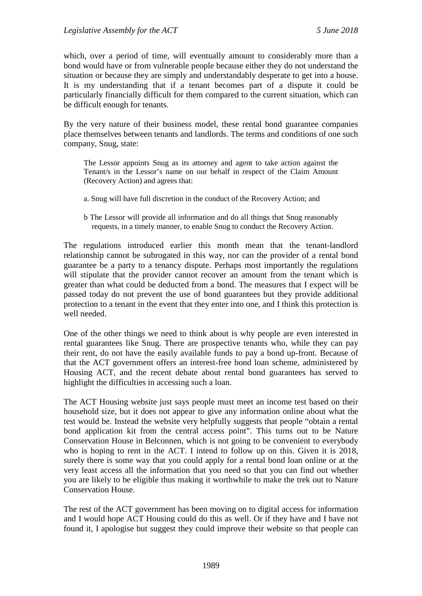which, over a period of time, will eventually amount to considerably more than a bond would have or from vulnerable people because either they do not understand the situation or because they are simply and understandably desperate to get into a house. It is my understanding that if a tenant becomes part of a dispute it could be particularly financially difficult for them compared to the current situation, which can be difficult enough for tenants.

By the very nature of their business model, these rental bond guarantee companies place themselves between tenants and landlords. The terms and conditions of one such company, Snug, state:

The Lessor appoints Snug as its attorney and agent to take action against the Tenant/s in the Lessor's name on our behalf in respect of the Claim Amount (Recovery Action) and agrees that:

- a. Snug will have full discretion in the conduct of the Recovery Action; and
- b The Lessor will provide all information and do all things that Snug reasonably requests, in a timely manner, to enable Snug to conduct the Recovery Action.

The regulations introduced earlier this month mean that the tenant-landlord relationship cannot be subrogated in this way, nor can the provider of a rental bond guarantee be a party to a tenancy dispute. Perhaps most importantly the regulations will stipulate that the provider cannot recover an amount from the tenant which is greater than what could be deducted from a bond. The measures that I expect will be passed today do not prevent the use of bond guarantees but they provide additional protection to a tenant in the event that they enter into one, and I think this protection is well needed.

One of the other things we need to think about is why people are even interested in rental guarantees like Snug. There are prospective tenants who, while they can pay their rent, do not have the easily available funds to pay a bond up-front. Because of that the ACT government offers an interest-free bond loan scheme, administered by Housing ACT, and the recent debate about rental bond guarantees has served to highlight the difficulties in accessing such a loan.

The ACT Housing website just says people must meet an income test based on their household size, but it does not appear to give any information online about what the test would be. Instead the website very helpfully suggests that people "obtain a rental bond application kit from the central access point". This turns out to be Nature Conservation House in Belconnen, which is not going to be convenient to everybody who is hoping to rent in the ACT. I intend to follow up on this. Given it is 2018, surely there is some way that you could apply for a rental bond loan online or at the very least access all the information that you need so that you can find out whether you are likely to be eligible thus making it worthwhile to make the trek out to Nature Conservation House.

The rest of the ACT government has been moving on to digital access for information and I would hope ACT Housing could do this as well. Or if they have and I have not found it, I apologise but suggest they could improve their website so that people can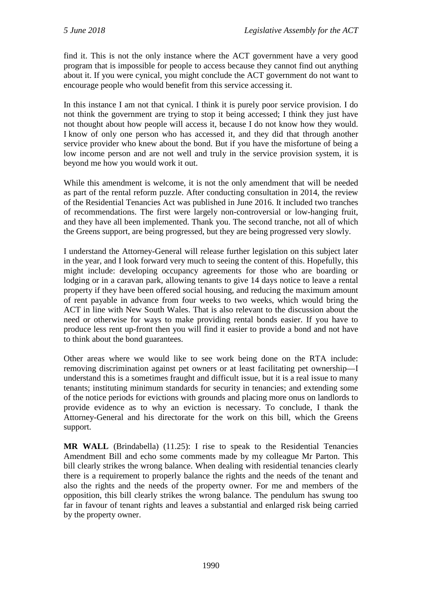find it. This is not the only instance where the ACT government have a very good program that is impossible for people to access because they cannot find out anything about it. If you were cynical, you might conclude the ACT government do not want to encourage people who would benefit from this service accessing it.

In this instance I am not that cynical. I think it is purely poor service provision. I do not think the government are trying to stop it being accessed; I think they just have not thought about how people will access it, because I do not know how they would. I know of only one person who has accessed it, and they did that through another service provider who knew about the bond. But if you have the misfortune of being a low income person and are not well and truly in the service provision system, it is beyond me how you would work it out.

While this amendment is welcome, it is not the only amendment that will be needed as part of the rental reform puzzle. After conducting consultation in 2014, the review of the Residential Tenancies Act was published in June 2016. It included two tranches of recommendations. The first were largely non-controversial or low-hanging fruit, and they have all been implemented. Thank you. The second tranche, not all of which the Greens support, are being progressed, but they are being progressed very slowly.

I understand the Attorney-General will release further legislation on this subject later in the year, and I look forward very much to seeing the content of this. Hopefully, this might include: developing occupancy agreements for those who are boarding or lodging or in a caravan park, allowing tenants to give 14 days notice to leave a rental property if they have been offered social housing, and reducing the maximum amount of rent payable in advance from four weeks to two weeks, which would bring the ACT in line with New South Wales. That is also relevant to the discussion about the need or otherwise for ways to make providing rental bonds easier. If you have to produce less rent up-front then you will find it easier to provide a bond and not have to think about the bond guarantees.

Other areas where we would like to see work being done on the RTA include: removing discrimination against pet owners or at least facilitating pet ownership—I understand this is a sometimes fraught and difficult issue, but it is a real issue to many tenants; instituting minimum standards for security in tenancies; and extending some of the notice periods for evictions with grounds and placing more onus on landlords to provide evidence as to why an eviction is necessary. To conclude, I thank the Attorney-General and his directorate for the work on this bill, which the Greens support.

**MR WALL** (Brindabella) (11.25): I rise to speak to the Residential Tenancies Amendment Bill and echo some comments made by my colleague Mr Parton. This bill clearly strikes the wrong balance. When dealing with residential tenancies clearly there is a requirement to properly balance the rights and the needs of the tenant and also the rights and the needs of the property owner. For me and members of the opposition, this bill clearly strikes the wrong balance. The pendulum has swung too far in favour of tenant rights and leaves a substantial and enlarged risk being carried by the property owner.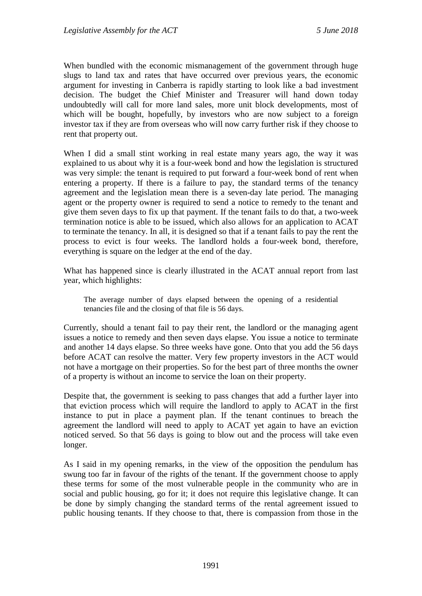When bundled with the economic mismanagement of the government through huge slugs to land tax and rates that have occurred over previous years, the economic argument for investing in Canberra is rapidly starting to look like a bad investment decision. The budget the Chief Minister and Treasurer will hand down today undoubtedly will call for more land sales, more unit block developments, most of which will be bought, hopefully, by investors who are now subject to a foreign investor tax if they are from overseas who will now carry further risk if they choose to rent that property out.

When I did a small stint working in real estate many years ago, the way it was explained to us about why it is a four-week bond and how the legislation is structured was very simple: the tenant is required to put forward a four-week bond of rent when entering a property. If there is a failure to pay, the standard terms of the tenancy agreement and the legislation mean there is a seven-day late period. The managing agent or the property owner is required to send a notice to remedy to the tenant and give them seven days to fix up that payment. If the tenant fails to do that, a two-week termination notice is able to be issued, which also allows for an application to ACAT to terminate the tenancy. In all, it is designed so that if a tenant fails to pay the rent the process to evict is four weeks. The landlord holds a four-week bond, therefore, everything is square on the ledger at the end of the day.

What has happened since is clearly illustrated in the ACAT annual report from last year, which highlights:

The average number of days elapsed between the opening of a residential tenancies file and the closing of that file is 56 days.

Currently, should a tenant fail to pay their rent, the landlord or the managing agent issues a notice to remedy and then seven days elapse. You issue a notice to terminate and another 14 days elapse. So three weeks have gone. Onto that you add the 56 days before ACAT can resolve the matter. Very few property investors in the ACT would not have a mortgage on their properties. So for the best part of three months the owner of a property is without an income to service the loan on their property.

Despite that, the government is seeking to pass changes that add a further layer into that eviction process which will require the landlord to apply to ACAT in the first instance to put in place a payment plan. If the tenant continues to breach the agreement the landlord will need to apply to ACAT yet again to have an eviction noticed served. So that 56 days is going to blow out and the process will take even longer.

As I said in my opening remarks, in the view of the opposition the pendulum has swung too far in favour of the rights of the tenant. If the government choose to apply these terms for some of the most vulnerable people in the community who are in social and public housing, go for it; it does not require this legislative change. It can be done by simply changing the standard terms of the rental agreement issued to public housing tenants. If they choose to that, there is compassion from those in the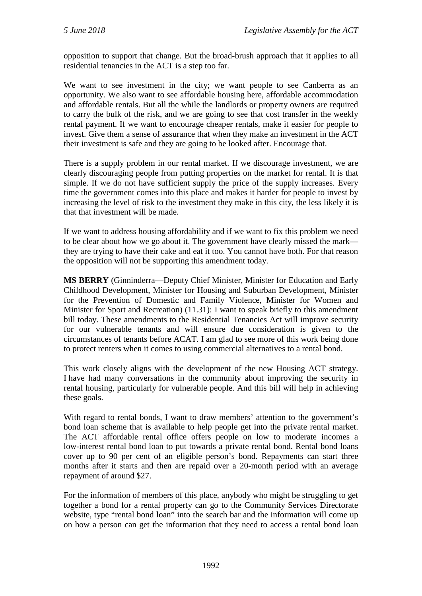opposition to support that change. But the broad-brush approach that it applies to all residential tenancies in the ACT is a step too far.

We want to see investment in the city; we want people to see Canberra as an opportunity. We also want to see affordable housing here, affordable accommodation and affordable rentals. But all the while the landlords or property owners are required to carry the bulk of the risk, and we are going to see that cost transfer in the weekly rental payment. If we want to encourage cheaper rentals, make it easier for people to invest. Give them a sense of assurance that when they make an investment in the ACT their investment is safe and they are going to be looked after. Encourage that.

There is a supply problem in our rental market. If we discourage investment, we are clearly discouraging people from putting properties on the market for rental. It is that simple. If we do not have sufficient supply the price of the supply increases. Every time the government comes into this place and makes it harder for people to invest by increasing the level of risk to the investment they make in this city, the less likely it is that that investment will be made.

If we want to address housing affordability and if we want to fix this problem we need to be clear about how we go about it. The government have clearly missed the mark they are trying to have their cake and eat it too. You cannot have both. For that reason the opposition will not be supporting this amendment today.

**MS BERRY** (Ginninderra—Deputy Chief Minister, Minister for Education and Early Childhood Development, Minister for Housing and Suburban Development, Minister for the Prevention of Domestic and Family Violence, Minister for Women and Minister for Sport and Recreation) (11.31): I want to speak briefly to this amendment bill today. These amendments to the Residential Tenancies Act will improve security for our vulnerable tenants and will ensure due consideration is given to the circumstances of tenants before ACAT. I am glad to see more of this work being done to protect renters when it comes to using commercial alternatives to a rental bond.

This work closely aligns with the development of the new Housing ACT strategy. I have had many conversations in the community about improving the security in rental housing, particularly for vulnerable people. And this bill will help in achieving these goals.

With regard to rental bonds, I want to draw members' attention to the government's bond loan scheme that is available to help people get into the private rental market. The ACT affordable rental office offers people on low to moderate incomes a low-interest rental bond loan to put towards a private rental bond. Rental bond loans cover up to 90 per cent of an eligible person's bond. Repayments can start three months after it starts and then are repaid over a 20-month period with an average repayment of around \$27.

For the information of members of this place, anybody who might be struggling to get together a bond for a rental property can go to the Community Services Directorate website, type "rental bond loan" into the search bar and the information will come up on how a person can get the information that they need to access a rental bond loan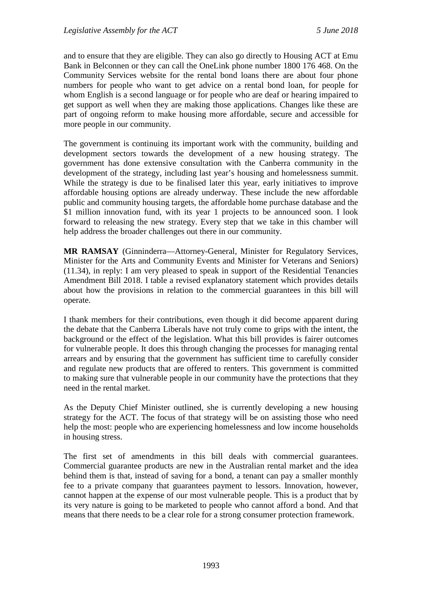and to ensure that they are eligible. They can also go directly to Housing ACT at Emu Bank in Belconnen or they can call the OneLink phone number 1800 176 468. On the Community Services website for the rental bond loans there are about four phone numbers for people who want to get advice on a rental bond loan, for people for whom English is a second language or for people who are deaf or hearing impaired to get support as well when they are making those applications. Changes like these are part of ongoing reform to make housing more affordable, secure and accessible for more people in our community.

The government is continuing its important work with the community, building and development sectors towards the development of a new housing strategy. The government has done extensive consultation with the Canberra community in the development of the strategy, including last year's housing and homelessness summit. While the strategy is due to be finalised later this year, early initiatives to improve affordable housing options are already underway. These include the new affordable public and community housing targets, the affordable home purchase database and the \$1 million innovation fund, with its year 1 projects to be announced soon. I look forward to releasing the new strategy. Every step that we take in this chamber will help address the broader challenges out there in our community.

**MR RAMSAY** (Ginninderra—Attorney-General, Minister for Regulatory Services, Minister for the Arts and Community Events and Minister for Veterans and Seniors) (11.34), in reply: I am very pleased to speak in support of the Residential Tenancies Amendment Bill 2018. I table a revised explanatory statement which provides details about how the provisions in relation to the commercial guarantees in this bill will operate.

I thank members for their contributions, even though it did become apparent during the debate that the Canberra Liberals have not truly come to grips with the intent, the background or the effect of the legislation. What this bill provides is fairer outcomes for vulnerable people. It does this through changing the processes for managing rental arrears and by ensuring that the government has sufficient time to carefully consider and regulate new products that are offered to renters. This government is committed to making sure that vulnerable people in our community have the protections that they need in the rental market.

As the Deputy Chief Minister outlined, she is currently developing a new housing strategy for the ACT. The focus of that strategy will be on assisting those who need help the most: people who are experiencing homelessness and low income households in housing stress.

The first set of amendments in this bill deals with commercial guarantees. Commercial guarantee products are new in the Australian rental market and the idea behind them is that, instead of saving for a bond, a tenant can pay a smaller monthly fee to a private company that guarantees payment to lessors. Innovation, however, cannot happen at the expense of our most vulnerable people. This is a product that by its very nature is going to be marketed to people who cannot afford a bond. And that means that there needs to be a clear role for a strong consumer protection framework.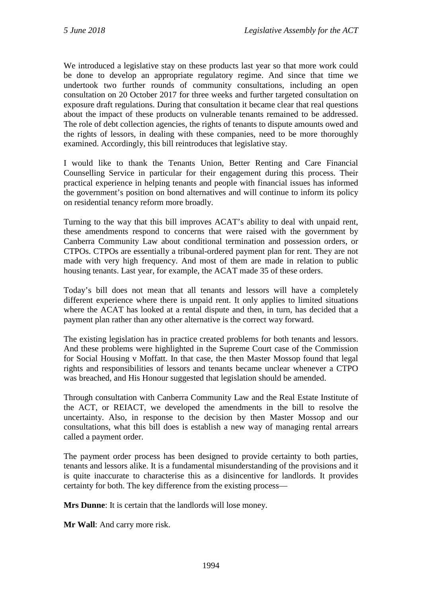We introduced a legislative stay on these products last year so that more work could be done to develop an appropriate regulatory regime. And since that time we undertook two further rounds of community consultations, including an open consultation on 20 October 2017 for three weeks and further targeted consultation on exposure draft regulations. During that consultation it became clear that real questions about the impact of these products on vulnerable tenants remained to be addressed. The role of debt collection agencies, the rights of tenants to dispute amounts owed and the rights of lessors, in dealing with these companies, need to be more thoroughly examined. Accordingly, this bill reintroduces that legislative stay.

I would like to thank the Tenants Union, Better Renting and Care Financial Counselling Service in particular for their engagement during this process. Their practical experience in helping tenants and people with financial issues has informed the government's position on bond alternatives and will continue to inform its policy on residential tenancy reform more broadly.

Turning to the way that this bill improves ACAT's ability to deal with unpaid rent, these amendments respond to concerns that were raised with the government by Canberra Community Law about conditional termination and possession orders, or CTPOs. CTPOs are essentially a tribunal-ordered payment plan for rent. They are not made with very high frequency. And most of them are made in relation to public housing tenants. Last year, for example, the ACAT made 35 of these orders.

Today's bill does not mean that all tenants and lessors will have a completely different experience where there is unpaid rent. It only applies to limited situations where the ACAT has looked at a rental dispute and then, in turn, has decided that a payment plan rather than any other alternative is the correct way forward.

The existing legislation has in practice created problems for both tenants and lessors. And these problems were highlighted in the Supreme Court case of the Commission for Social Housing v Moffatt. In that case, the then Master Mossop found that legal rights and responsibilities of lessors and tenants became unclear whenever a CTPO was breached, and His Honour suggested that legislation should be amended.

Through consultation with Canberra Community Law and the Real Estate Institute of the ACT, or REIACT, we developed the amendments in the bill to resolve the uncertainty. Also, in response to the decision by then Master Mossop and our consultations, what this bill does is establish a new way of managing rental arrears called a payment order.

The payment order process has been designed to provide certainty to both parties, tenants and lessors alike. It is a fundamental misunderstanding of the provisions and it is quite inaccurate to characterise this as a disincentive for landlords. It provides certainty for both. The key difference from the existing process—

**Mrs Dunne**: It is certain that the landlords will lose money.

**Mr Wall**: And carry more risk.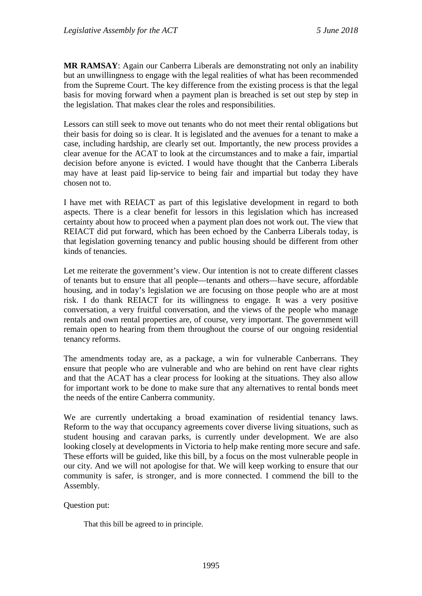**MR RAMSAY**: Again our Canberra Liberals are demonstrating not only an inability but an unwillingness to engage with the legal realities of what has been recommended from the Supreme Court. The key difference from the existing process is that the legal basis for moving forward when a payment plan is breached is set out step by step in the legislation. That makes clear the roles and responsibilities.

Lessors can still seek to move out tenants who do not meet their rental obligations but their basis for doing so is clear. It is legislated and the avenues for a tenant to make a case, including hardship, are clearly set out. Importantly, the new process provides a clear avenue for the ACAT to look at the circumstances and to make a fair, impartial decision before anyone is evicted. I would have thought that the Canberra Liberals may have at least paid lip-service to being fair and impartial but today they have chosen not to.

I have met with REIACT as part of this legislative development in regard to both aspects. There is a clear benefit for lessors in this legislation which has increased certainty about how to proceed when a payment plan does not work out. The view that REIACT did put forward, which has been echoed by the Canberra Liberals today, is that legislation governing tenancy and public housing should be different from other kinds of tenancies.

Let me reiterate the government's view. Our intention is not to create different classes of tenants but to ensure that all people—tenants and others—have secure, affordable housing, and in today's legislation we are focusing on those people who are at most risk. I do thank REIACT for its willingness to engage. It was a very positive conversation, a very fruitful conversation, and the views of the people who manage rentals and own rental properties are, of course, very important. The government will remain open to hearing from them throughout the course of our ongoing residential tenancy reforms.

The amendments today are, as a package, a win for vulnerable Canberrans. They ensure that people who are vulnerable and who are behind on rent have clear rights and that the ACAT has a clear process for looking at the situations. They also allow for important work to be done to make sure that any alternatives to rental bonds meet the needs of the entire Canberra community.

We are currently undertaking a broad examination of residential tenancy laws. Reform to the way that occupancy agreements cover diverse living situations, such as student housing and caravan parks, is currently under development. We are also looking closely at developments in Victoria to help make renting more secure and safe. These efforts will be guided, like this bill, by a focus on the most vulnerable people in our city. And we will not apologise for that. We will keep working to ensure that our community is safer, is stronger, and is more connected. I commend the bill to the Assembly.

#### Question put:

That this bill be agreed to in principle.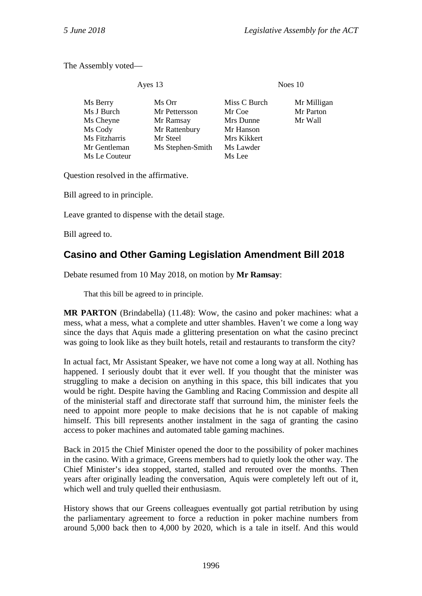The Assembly voted—

Ayes 13 Noes 10

| Ms Berry      | Ms Orr           | Miss C Burch | Mr Milligan |
|---------------|------------------|--------------|-------------|
| Ms J Burch    | Mr Pettersson    | Mr Coe       | Mr Parton   |
| Ms Cheyne     | Mr Ramsay        | Mrs Dunne    | Mr Wall     |
| Ms Cody       | Mr Rattenbury    | Mr Hanson    |             |
| Ms Fitzharris | Mr Steel         | Mrs Kikkert  |             |
| Mr Gentleman  | Ms Stephen-Smith | Ms Lawder    |             |
| Ms Le Couteur |                  | Ms Lee       |             |
|               |                  |              |             |

Question resolved in the affirmative.

Bill agreed to in principle.

Leave granted to dispense with the detail stage.

Bill agreed to.

# <span id="page-33-0"></span>**Casino and Other Gaming Legislation Amendment Bill 2018**

Debate resumed from 10 May 2018, on motion by **Mr Ramsay**:

That this bill be agreed to in principle.

**MR PARTON** (Brindabella) (11.48): Wow, the casino and poker machines: what a mess, what a mess, what a complete and utter shambles. Haven't we come a long way since the days that Aquis made a glittering presentation on what the casino precinct was going to look like as they built hotels, retail and restaurants to transform the city?

In actual fact, Mr Assistant Speaker, we have not come a long way at all. Nothing has happened. I seriously doubt that it ever well. If you thought that the minister was struggling to make a decision on anything in this space, this bill indicates that you would be right. Despite having the Gambling and Racing Commission and despite all of the ministerial staff and directorate staff that surround him, the minister feels the need to appoint more people to make decisions that he is not capable of making himself. This bill represents another instalment in the saga of granting the casino access to poker machines and automated table gaming machines.

Back in 2015 the Chief Minister opened the door to the possibility of poker machines in the casino. With a grimace, Greens members had to quietly look the other way. The Chief Minister's idea stopped, started, stalled and rerouted over the months. Then years after originally leading the conversation, Aquis were completely left out of it, which well and truly quelled their enthusiasm.

History shows that our Greens colleagues eventually got partial retribution by using the parliamentary agreement to force a reduction in poker machine numbers from around 5,000 back then to 4,000 by 2020, which is a tale in itself. And this would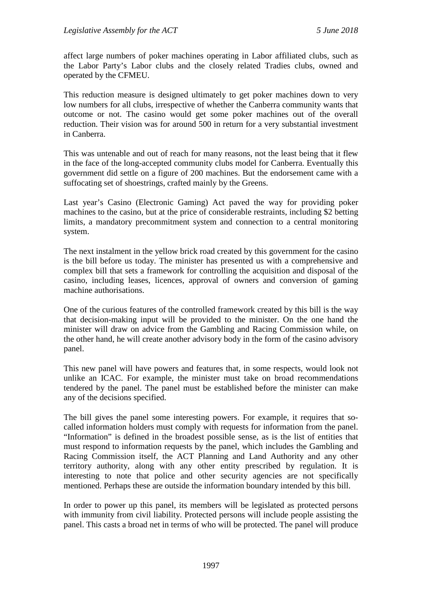affect large numbers of poker machines operating in Labor affiliated clubs, such as the Labor Party's Labor clubs and the closely related Tradies clubs, owned and operated by the CFMEU.

This reduction measure is designed ultimately to get poker machines down to very low numbers for all clubs, irrespective of whether the Canberra community wants that outcome or not. The casino would get some poker machines out of the overall reduction. Their vision was for around 500 in return for a very substantial investment in Canberra.

This was untenable and out of reach for many reasons, not the least being that it flew in the face of the long-accepted community clubs model for Canberra. Eventually this government did settle on a figure of 200 machines. But the endorsement came with a suffocating set of shoestrings, crafted mainly by the Greens.

Last year's Casino (Electronic Gaming) Act paved the way for providing poker machines to the casino, but at the price of considerable restraints, including \$2 betting limits, a mandatory precommitment system and connection to a central monitoring system.

The next instalment in the yellow brick road created by this government for the casino is the bill before us today. The minister has presented us with a comprehensive and complex bill that sets a framework for controlling the acquisition and disposal of the casino, including leases, licences, approval of owners and conversion of gaming machine authorisations.

One of the curious features of the controlled framework created by this bill is the way that decision-making input will be provided to the minister. On the one hand the minister will draw on advice from the Gambling and Racing Commission while, on the other hand, he will create another advisory body in the form of the casino advisory panel.

This new panel will have powers and features that, in some respects, would look not unlike an ICAC. For example, the minister must take on broad recommendations tendered by the panel. The panel must be established before the minister can make any of the decisions specified.

The bill gives the panel some interesting powers. For example, it requires that socalled information holders must comply with requests for information from the panel. "Information" is defined in the broadest possible sense, as is the list of entities that must respond to information requests by the panel, which includes the Gambling and Racing Commission itself, the ACT Planning and Land Authority and any other territory authority, along with any other entity prescribed by regulation. It is interesting to note that police and other security agencies are not specifically mentioned. Perhaps these are outside the information boundary intended by this bill.

In order to power up this panel, its members will be legislated as protected persons with immunity from civil liability. Protected persons will include people assisting the panel. This casts a broad net in terms of who will be protected. The panel will produce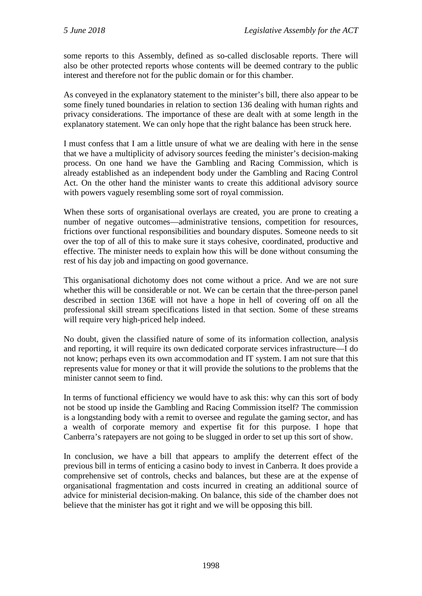some reports to this Assembly, defined as so-called disclosable reports. There will also be other protected reports whose contents will be deemed contrary to the public interest and therefore not for the public domain or for this chamber.

As conveyed in the explanatory statement to the minister's bill, there also appear to be some finely tuned boundaries in relation to section 136 dealing with human rights and privacy considerations. The importance of these are dealt with at some length in the explanatory statement. We can only hope that the right balance has been struck here.

I must confess that I am a little unsure of what we are dealing with here in the sense that we have a multiplicity of advisory sources feeding the minister's decision-making process. On one hand we have the Gambling and Racing Commission, which is already established as an independent body under the Gambling and Racing Control Act. On the other hand the minister wants to create this additional advisory source with powers vaguely resembling some sort of royal commission.

When these sorts of organisational overlays are created, you are prone to creating a number of negative outcomes—administrative tensions, competition for resources, frictions over functional responsibilities and boundary disputes. Someone needs to sit over the top of all of this to make sure it stays cohesive, coordinated, productive and effective. The minister needs to explain how this will be done without consuming the rest of his day job and impacting on good governance.

This organisational dichotomy does not come without a price. And we are not sure whether this will be considerable or not. We can be certain that the three-person panel described in section 136E will not have a hope in hell of covering off on all the professional skill stream specifications listed in that section. Some of these streams will require very high-priced help indeed.

No doubt, given the classified nature of some of its information collection, analysis and reporting, it will require its own dedicated corporate services infrastructure—I do not know; perhaps even its own accommodation and IT system. I am not sure that this represents value for money or that it will provide the solutions to the problems that the minister cannot seem to find.

In terms of functional efficiency we would have to ask this: why can this sort of body not be stood up inside the Gambling and Racing Commission itself? The commission is a longstanding body with a remit to oversee and regulate the gaming sector, and has a wealth of corporate memory and expertise fit for this purpose. I hope that Canberra's ratepayers are not going to be slugged in order to set up this sort of show.

In conclusion, we have a bill that appears to amplify the deterrent effect of the previous bill in terms of enticing a casino body to invest in Canberra. It does provide a comprehensive set of controls, checks and balances, but these are at the expense of organisational fragmentation and costs incurred in creating an additional source of advice for ministerial decision-making. On balance, this side of the chamber does not believe that the minister has got it right and we will be opposing this bill.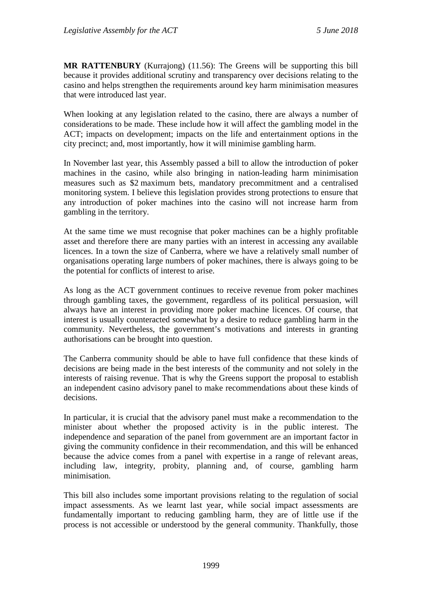**MR RATTENBURY** (Kurrajong) (11.56): The Greens will be supporting this bill because it provides additional scrutiny and transparency over decisions relating to the casino and helps strengthen the requirements around key harm minimisation measures that were introduced last year.

When looking at any legislation related to the casino, there are always a number of considerations to be made. These include how it will affect the gambling model in the ACT; impacts on development; impacts on the life and entertainment options in the city precinct; and, most importantly, how it will minimise gambling harm.

In November last year, this Assembly passed a bill to allow the introduction of poker machines in the casino, while also bringing in nation-leading harm minimisation measures such as \$2 maximum bets, mandatory precommitment and a centralised monitoring system. I believe this legislation provides strong protections to ensure that any introduction of poker machines into the casino will not increase harm from gambling in the territory.

At the same time we must recognise that poker machines can be a highly profitable asset and therefore there are many parties with an interest in accessing any available licences. In a town the size of Canberra, where we have a relatively small number of organisations operating large numbers of poker machines, there is always going to be the potential for conflicts of interest to arise.

As long as the ACT government continues to receive revenue from poker machines through gambling taxes, the government, regardless of its political persuasion, will always have an interest in providing more poker machine licences. Of course, that interest is usually counteracted somewhat by a desire to reduce gambling harm in the community. Nevertheless, the government's motivations and interests in granting authorisations can be brought into question.

The Canberra community should be able to have full confidence that these kinds of decisions are being made in the best interests of the community and not solely in the interests of raising revenue. That is why the Greens support the proposal to establish an independent casino advisory panel to make recommendations about these kinds of decisions.

In particular, it is crucial that the advisory panel must make a recommendation to the minister about whether the proposed activity is in the public interest. The independence and separation of the panel from government are an important factor in giving the community confidence in their recommendation, and this will be enhanced because the advice comes from a panel with expertise in a range of relevant areas, including law, integrity, probity, planning and, of course, gambling harm minimisation.

This bill also includes some important provisions relating to the regulation of social impact assessments. As we learnt last year, while social impact assessments are fundamentally important to reducing gambling harm, they are of little use if the process is not accessible or understood by the general community. Thankfully, those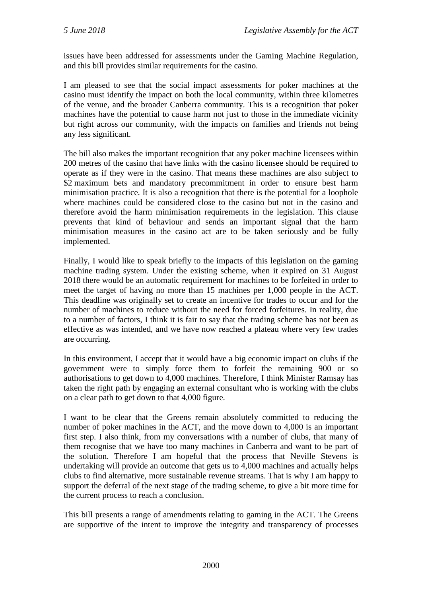issues have been addressed for assessments under the Gaming Machine Regulation, and this bill provides similar requirements for the casino.

I am pleased to see that the social impact assessments for poker machines at the casino must identify the impact on both the local community, within three kilometres of the venue, and the broader Canberra community. This is a recognition that poker machines have the potential to cause harm not just to those in the immediate vicinity but right across our community, with the impacts on families and friends not being any less significant.

The bill also makes the important recognition that any poker machine licensees within 200 metres of the casino that have links with the casino licensee should be required to operate as if they were in the casino. That means these machines are also subject to \$2 maximum bets and mandatory precommitment in order to ensure best harm minimisation practice. It is also a recognition that there is the potential for a loophole where machines could be considered close to the casino but not in the casino and therefore avoid the harm minimisation requirements in the legislation. This clause prevents that kind of behaviour and sends an important signal that the harm minimisation measures in the casino act are to be taken seriously and be fully implemented.

Finally, I would like to speak briefly to the impacts of this legislation on the gaming machine trading system. Under the existing scheme, when it expired on 31 August 2018 there would be an automatic requirement for machines to be forfeited in order to meet the target of having no more than 15 machines per 1,000 people in the ACT. This deadline was originally set to create an incentive for trades to occur and for the number of machines to reduce without the need for forced forfeitures. In reality, due to a number of factors, I think it is fair to say that the trading scheme has not been as effective as was intended, and we have now reached a plateau where very few trades are occurring.

In this environment, I accept that it would have a big economic impact on clubs if the government were to simply force them to forfeit the remaining 900 or so authorisations to get down to 4,000 machines. Therefore, I think Minister Ramsay has taken the right path by engaging an external consultant who is working with the clubs on a clear path to get down to that 4,000 figure.

I want to be clear that the Greens remain absolutely committed to reducing the number of poker machines in the ACT, and the move down to 4,000 is an important first step. I also think, from my conversations with a number of clubs, that many of them recognise that we have too many machines in Canberra and want to be part of the solution. Therefore I am hopeful that the process that Neville Stevens is undertaking will provide an outcome that gets us to 4,000 machines and actually helps clubs to find alternative, more sustainable revenue streams. That is why I am happy to support the deferral of the next stage of the trading scheme, to give a bit more time for the current process to reach a conclusion.

This bill presents a range of amendments relating to gaming in the ACT. The Greens are supportive of the intent to improve the integrity and transparency of processes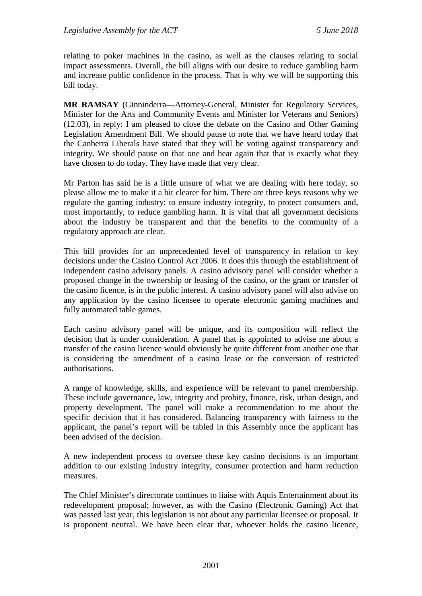relating to poker machines in the casino, as well as the clauses relating to social impact assessments. Overall, the bill aligns with our desire to reduce gambling harm and increase public confidence in the process. That is why we will be supporting this bill today.

**MR RAMSAY** (Ginninderra—Attorney-General, Minister for Regulatory Services, Minister for the Arts and Community Events and Minister for Veterans and Seniors) (12.03), in reply: I am pleased to close the debate on the Casino and Other Gaming Legislation Amendment Bill. We should pause to note that we have heard today that the Canberra Liberals have stated that they will be voting against transparency and integrity. We should pause on that one and hear again that that is exactly what they have chosen to do today. They have made that very clear.

Mr Parton has said he is a little unsure of what we are dealing with here today, so please allow me to make it a bit clearer for him. There are three keys reasons why we regulate the gaming industry: to ensure industry integrity, to protect consumers and, most importantly, to reduce gambling harm. It is vital that all government decisions about the industry be transparent and that the benefits to the community of a regulatory approach are clear.

This bill provides for an unprecedented level of transparency in relation to key decisions under the Casino Control Act 2006. It does this through the establishment of independent casino advisory panels. A casino advisory panel will consider whether a proposed change in the ownership or leasing of the casino, or the grant or transfer of the casino licence, is in the public interest. A casino advisory panel will also advise on any application by the casino licensee to operate electronic gaming machines and fully automated table games.

Each casino advisory panel will be unique, and its composition will reflect the decision that is under consideration. A panel that is appointed to advise me about a transfer of the casino licence would obviously be quite different from another one that is considering the amendment of a casino lease or the conversion of restricted authorisations.

A range of knowledge, skills, and experience will be relevant to panel membership. These include governance, law, integrity and probity, finance, risk, urban design, and property development. The panel will make a recommendation to me about the specific decision that it has considered. Balancing transparency with fairness to the applicant, the panel's report will be tabled in this Assembly once the applicant has been advised of the decision.

A new independent process to oversee these key casino decisions is an important addition to our existing industry integrity, consumer protection and harm reduction measures.

The Chief Minister's directorate continues to liaise with Aquis Entertainment about its redevelopment proposal; however, as with the Casino (Electronic Gaming) Act that was passed last year, this legislation is not about any particular licensee or proposal. It is proponent neutral. We have been clear that, whoever holds the casino licence,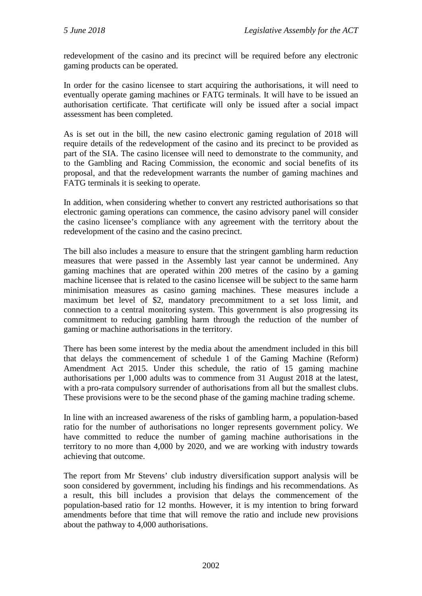redevelopment of the casino and its precinct will be required before any electronic gaming products can be operated.

In order for the casino licensee to start acquiring the authorisations, it will need to eventually operate gaming machines or FATG terminals. It will have to be issued an authorisation certificate. That certificate will only be issued after a social impact assessment has been completed.

As is set out in the bill, the new casino electronic gaming regulation of 2018 will require details of the redevelopment of the casino and its precinct to be provided as part of the SIA. The casino licensee will need to demonstrate to the community, and to the Gambling and Racing Commission, the economic and social benefits of its proposal, and that the redevelopment warrants the number of gaming machines and FATG terminals it is seeking to operate.

In addition, when considering whether to convert any restricted authorisations so that electronic gaming operations can commence, the casino advisory panel will consider the casino licensee's compliance with any agreement with the territory about the redevelopment of the casino and the casino precinct.

The bill also includes a measure to ensure that the stringent gambling harm reduction measures that were passed in the Assembly last year cannot be undermined. Any gaming machines that are operated within 200 metres of the casino by a gaming machine licensee that is related to the casino licensee will be subject to the same harm minimisation measures as casino gaming machines. These measures include a maximum bet level of \$2, mandatory precommitment to a set loss limit, and connection to a central monitoring system. This government is also progressing its commitment to reducing gambling harm through the reduction of the number of gaming or machine authorisations in the territory.

There has been some interest by the media about the amendment included in this bill that delays the commencement of schedule 1 of the Gaming Machine (Reform) Amendment Act 2015. Under this schedule, the ratio of 15 gaming machine authorisations per 1,000 adults was to commence from 31 August 2018 at the latest, with a pro-rata compulsory surrender of authorisations from all but the smallest clubs. These provisions were to be the second phase of the gaming machine trading scheme.

In line with an increased awareness of the risks of gambling harm, a population-based ratio for the number of authorisations no longer represents government policy. We have committed to reduce the number of gaming machine authorisations in the territory to no more than 4,000 by 2020, and we are working with industry towards achieving that outcome.

The report from Mr Stevens' club industry diversification support analysis will be soon considered by government, including his findings and his recommendations. As a result, this bill includes a provision that delays the commencement of the population-based ratio for 12 months. However, it is my intention to bring forward amendments before that time that will remove the ratio and include new provisions about the pathway to 4,000 authorisations.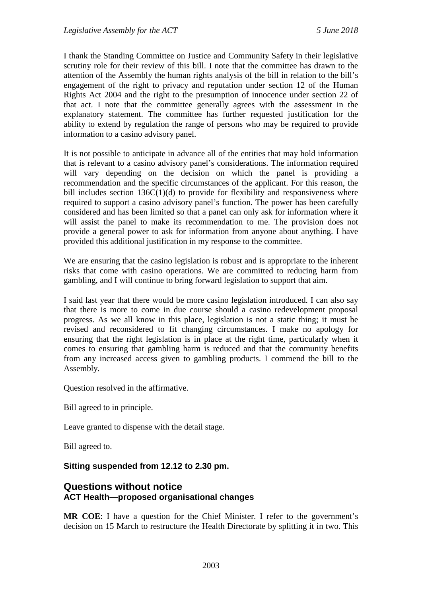I thank the Standing Committee on Justice and Community Safety in their legislative scrutiny role for their review of this bill. I note that the committee has drawn to the attention of the Assembly the human rights analysis of the bill in relation to the bill's engagement of the right to privacy and reputation under section 12 of the Human Rights Act 2004 and the right to the presumption of innocence under section 22 of that act. I note that the committee generally agrees with the assessment in the explanatory statement. The committee has further requested justification for the ability to extend by regulation the range of persons who may be required to provide information to a casino advisory panel.

It is not possible to anticipate in advance all of the entities that may hold information that is relevant to a casino advisory panel's considerations. The information required will vary depending on the decision on which the panel is providing a recommendation and the specific circumstances of the applicant. For this reason, the bill includes section 136C(1)(d) to provide for flexibility and responsiveness where required to support a casino advisory panel's function. The power has been carefully considered and has been limited so that a panel can only ask for information where it will assist the panel to make its recommendation to me. The provision does not provide a general power to ask for information from anyone about anything. I have provided this additional justification in my response to the committee.

We are ensuring that the casino legislation is robust and is appropriate to the inherent risks that come with casino operations. We are committed to reducing harm from gambling, and I will continue to bring forward legislation to support that aim.

I said last year that there would be more casino legislation introduced. I can also say that there is more to come in due course should a casino redevelopment proposal progress. As we all know in this place, legislation is not a static thing; it must be revised and reconsidered to fit changing circumstances. I make no apology for ensuring that the right legislation is in place at the right time, particularly when it comes to ensuring that gambling harm is reduced and that the community benefits from any increased access given to gambling products. I commend the bill to the Assembly.

Question resolved in the affirmative.

Bill agreed to in principle.

Leave granted to dispense with the detail stage.

Bill agreed to.

#### **Sitting suspended from 12.12 to 2.30 pm.**

## <span id="page-40-1"></span><span id="page-40-0"></span>**Questions without notice ACT Health—proposed organisational changes**

**MR COE**: I have a question for the Chief Minister. I refer to the government's decision on 15 March to restructure the Health Directorate by splitting it in two. This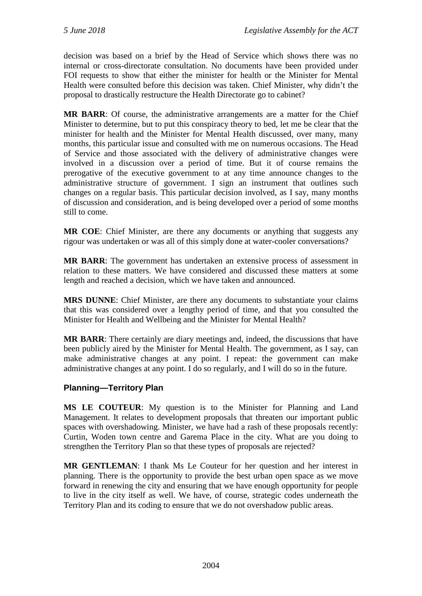decision was based on a brief by the Head of Service which shows there was no internal or cross-directorate consultation. No documents have been provided under FOI requests to show that either the minister for health or the Minister for Mental Health were consulted before this decision was taken. Chief Minister, why didn't the proposal to drastically restructure the Health Directorate go to cabinet?

**MR BARR**: Of course, the administrative arrangements are a matter for the Chief Minister to determine, but to put this conspiracy theory to bed, let me be clear that the minister for health and the Minister for Mental Health discussed, over many, many months, this particular issue and consulted with me on numerous occasions. The Head of Service and those associated with the delivery of administrative changes were involved in a discussion over a period of time. But it of course remains the prerogative of the executive government to at any time announce changes to the administrative structure of government. I sign an instrument that outlines such changes on a regular basis. This particular decision involved, as I say, many months of discussion and consideration, and is being developed over a period of some months still to come.

**MR COE**: Chief Minister, are there any documents or anything that suggests any rigour was undertaken or was all of this simply done at water-cooler conversations?

**MR BARR**: The government has undertaken an extensive process of assessment in relation to these matters. We have considered and discussed these matters at some length and reached a decision, which we have taken and announced.

**MRS DUNNE**: Chief Minister, are there any documents to substantiate your claims that this was considered over a lengthy period of time, and that you consulted the Minister for Health and Wellbeing and the Minister for Mental Health?

**MR BARR**: There certainly are diary meetings and, indeed, the discussions that have been publicly aired by the Minister for Mental Health. The government, as I say, can make administrative changes at any point. I repeat: the government can make administrative changes at any point. I do so regularly, and I will do so in the future.

## <span id="page-41-0"></span>**Planning—Territory Plan**

**MS LE COUTEUR**: My question is to the Minister for Planning and Land Management. It relates to development proposals that threaten our important public spaces with overshadowing. Minister, we have had a rash of these proposals recently: Curtin, Woden town centre and Garema Place in the city. What are you doing to strengthen the Territory Plan so that these types of proposals are rejected?

**MR GENTLEMAN**: I thank Ms Le Couteur for her question and her interest in planning. There is the opportunity to provide the best urban open space as we move forward in renewing the city and ensuring that we have enough opportunity for people to live in the city itself as well. We have, of course, strategic codes underneath the Territory Plan and its coding to ensure that we do not overshadow public areas.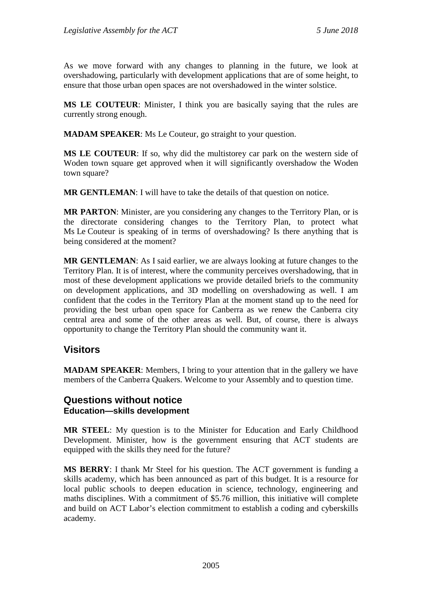As we move forward with any changes to planning in the future, we look at overshadowing, particularly with development applications that are of some height, to ensure that those urban open spaces are not overshadowed in the winter solstice.

**MS LE COUTEUR**: Minister, I think you are basically saying that the rules are currently strong enough.

**MADAM SPEAKER**: Ms Le Couteur, go straight to your question.

**MS LE COUTEUR**: If so, why did the multistorey car park on the western side of Woden town square get approved when it will significantly overshadow the Woden town square?

**MR GENTLEMAN**: I will have to take the details of that question on notice.

**MR PARTON**: Minister, are you considering any changes to the Territory Plan, or is the directorate considering changes to the Territory Plan, to protect what Ms Le Couteur is speaking of in terms of overshadowing? Is there anything that is being considered at the moment?

**MR GENTLEMAN**: As I said earlier, we are always looking at future changes to the Territory Plan. It is of interest, where the community perceives overshadowing, that in most of these development applications we provide detailed briefs to the community on development applications, and 3D modelling on overshadowing as well. I am confident that the codes in the Territory Plan at the moment stand up to the need for providing the best urban open space for Canberra as we renew the Canberra city central area and some of the other areas as well. But, of course, there is always opportunity to change the Territory Plan should the community want it.

# <span id="page-42-0"></span>**Visitors**

**MADAM SPEAKER**: Members, I bring to your attention that in the gallery we have members of the Canberra Quakers. Welcome to your Assembly and to question time.

## <span id="page-42-2"></span><span id="page-42-1"></span>**Questions without notice Education—skills development**

**MR STEEL**: My question is to the Minister for Education and Early Childhood Development. Minister, how is the government ensuring that ACT students are equipped with the skills they need for the future?

**MS BERRY**: I thank Mr Steel for his question. The ACT government is funding a skills academy, which has been announced as part of this budget. It is a resource for local public schools to deepen education in science, technology, engineering and maths disciplines. With a commitment of \$5.76 million, this initiative will complete and build on ACT Labor's election commitment to establish a coding and cyberskills academy.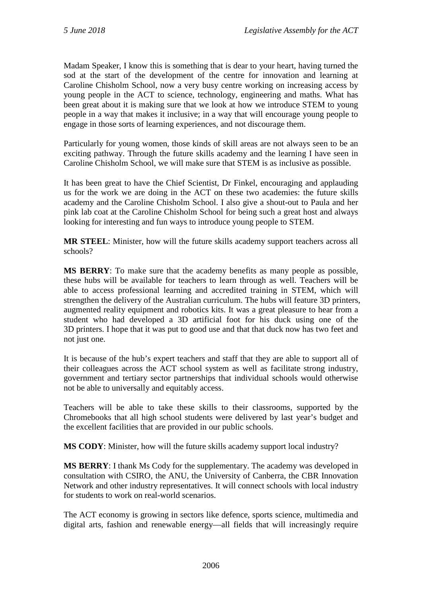Madam Speaker, I know this is something that is dear to your heart, having turned the sod at the start of the development of the centre for innovation and learning at Caroline Chisholm School, now a very busy centre working on increasing access by young people in the ACT to science, technology, engineering and maths. What has been great about it is making sure that we look at how we introduce STEM to young people in a way that makes it inclusive; in a way that will encourage young people to engage in those sorts of learning experiences, and not discourage them.

Particularly for young women, those kinds of skill areas are not always seen to be an exciting pathway. Through the future skills academy and the learning I have seen in Caroline Chisholm School, we will make sure that STEM is as inclusive as possible.

It has been great to have the Chief Scientist, Dr Finkel, encouraging and applauding us for the work we are doing in the ACT on these two academies: the future skills academy and the Caroline Chisholm School. I also give a shout-out to Paula and her pink lab coat at the Caroline Chisholm School for being such a great host and always looking for interesting and fun ways to introduce young people to STEM.

**MR STEEL**: Minister, how will the future skills academy support teachers across all schools?

**MS BERRY**: To make sure that the academy benefits as many people as possible, these hubs will be available for teachers to learn through as well. Teachers will be able to access professional learning and accredited training in STEM, which will strengthen the delivery of the Australian curriculum. The hubs will feature 3D printers, augmented reality equipment and robotics kits. It was a great pleasure to hear from a student who had developed a 3D artificial foot for his duck using one of the 3D printers. I hope that it was put to good use and that that duck now has two feet and not just one.

It is because of the hub's expert teachers and staff that they are able to support all of their colleagues across the ACT school system as well as facilitate strong industry, government and tertiary sector partnerships that individual schools would otherwise not be able to universally and equitably access.

Teachers will be able to take these skills to their classrooms, supported by the Chromebooks that all high school students were delivered by last year's budget and the excellent facilities that are provided in our public schools.

**MS CODY**: Minister, how will the future skills academy support local industry?

**MS BERRY**: I thank Ms Cody for the supplementary. The academy was developed in consultation with CSIRO, the ANU, the University of Canberra, the CBR Innovation Network and other industry representatives. It will connect schools with local industry for students to work on real-world scenarios.

The ACT economy is growing in sectors like defence, sports science, multimedia and digital arts, fashion and renewable energy—all fields that will increasingly require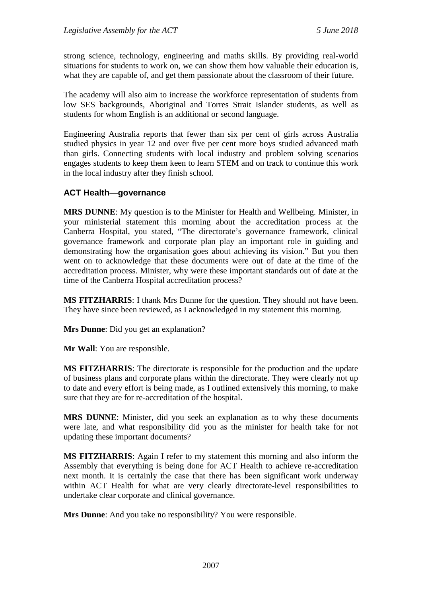strong science, technology, engineering and maths skills. By providing real-world situations for students to work on, we can show them how valuable their education is, what they are capable of, and get them passionate about the classroom of their future.

The academy will also aim to increase the workforce representation of students from low SES backgrounds, Aboriginal and Torres Strait Islander students, as well as students for whom English is an additional or second language.

Engineering Australia reports that fewer than six per cent of girls across Australia studied physics in year 12 and over five per cent more boys studied advanced math than girls. Connecting students with local industry and problem solving scenarios engages students to keep them keen to learn STEM and on track to continue this work in the local industry after they finish school.

## <span id="page-44-0"></span>**ACT Health—governance**

**MRS DUNNE**: My question is to the Minister for Health and Wellbeing. Minister, in your ministerial statement this morning about the accreditation process at the Canberra Hospital, you stated, "The directorate's governance framework, clinical governance framework and corporate plan play an important role in guiding and demonstrating how the organisation goes about achieving its vision." But you then went on to acknowledge that these documents were out of date at the time of the accreditation process. Minister, why were these important standards out of date at the time of the Canberra Hospital accreditation process?

**MS FITZHARRIS**: I thank Mrs Dunne for the question. They should not have been. They have since been reviewed, as I acknowledged in my statement this morning.

**Mrs Dunne**: Did you get an explanation?

**Mr Wall**: You are responsible.

**MS FITZHARRIS**: The directorate is responsible for the production and the update of business plans and corporate plans within the directorate. They were clearly not up to date and every effort is being made, as I outlined extensively this morning, to make sure that they are for re-accreditation of the hospital.

**MRS DUNNE**: Minister, did you seek an explanation as to why these documents were late, and what responsibility did you as the minister for health take for not updating these important documents?

**MS FITZHARRIS**: Again I refer to my statement this morning and also inform the Assembly that everything is being done for ACT Health to achieve re-accreditation next month. It is certainly the case that there has been significant work underway within ACT Health for what are very clearly directorate-level responsibilities to undertake clear corporate and clinical governance.

**Mrs Dunne**: And you take no responsibility? You were responsible.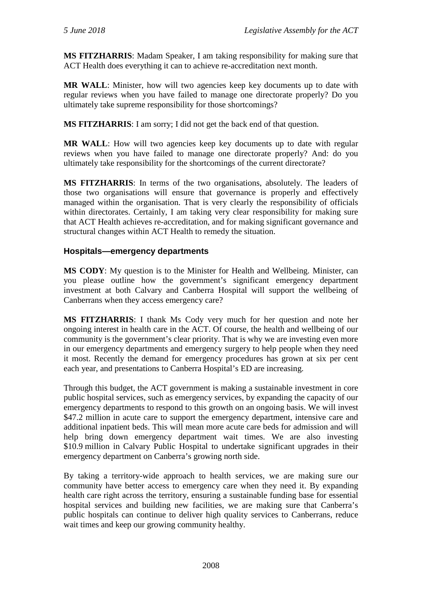**MS FITZHARRIS**: Madam Speaker, I am taking responsibility for making sure that ACT Health does everything it can to achieve re-accreditation next month.

**MR WALL**: Minister, how will two agencies keep key documents up to date with regular reviews when you have failed to manage one directorate properly? Do you ultimately take supreme responsibility for those shortcomings?

**MS FITZHARRIS**: I am sorry; I did not get the back end of that question.

**MR WALL:** How will two agencies keep key documents up to date with regular reviews when you have failed to manage one directorate properly? And: do you ultimately take responsibility for the shortcomings of the current directorate?

**MS FITZHARRIS**: In terms of the two organisations, absolutely. The leaders of those two organisations will ensure that governance is properly and effectively managed within the organisation. That is very clearly the responsibility of officials within directorates. Certainly, I am taking very clear responsibility for making sure that ACT Health achieves re-accreditation, and for making significant governance and structural changes within ACT Health to remedy the situation.

## <span id="page-45-0"></span>**Hospitals—emergency departments**

**MS CODY**: My question is to the Minister for Health and Wellbeing. Minister, can you please outline how the government's significant emergency department investment at both Calvary and Canberra Hospital will support the wellbeing of Canberrans when they access emergency care?

**MS FITZHARRIS**: I thank Ms Cody very much for her question and note her ongoing interest in health care in the ACT. Of course, the health and wellbeing of our community is the government's clear priority. That is why we are investing even more in our emergency departments and emergency surgery to help people when they need it most. Recently the demand for emergency procedures has grown at six per cent each year, and presentations to Canberra Hospital's ED are increasing.

Through this budget, the ACT government is making a sustainable investment in core public hospital services, such as emergency services, by expanding the capacity of our emergency departments to respond to this growth on an ongoing basis. We will invest \$47.2 million in acute care to support the emergency department, intensive care and additional inpatient beds. This will mean more acute care beds for admission and will help bring down emergency department wait times. We are also investing \$10.9 million in Calvary Public Hospital to undertake significant upgrades in their emergency department on Canberra's growing north side.

By taking a territory-wide approach to health services, we are making sure our community have better access to emergency care when they need it. By expanding health care right across the territory, ensuring a sustainable funding base for essential hospital services and building new facilities, we are making sure that Canberra's public hospitals can continue to deliver high quality services to Canberrans, reduce wait times and keep our growing community healthy.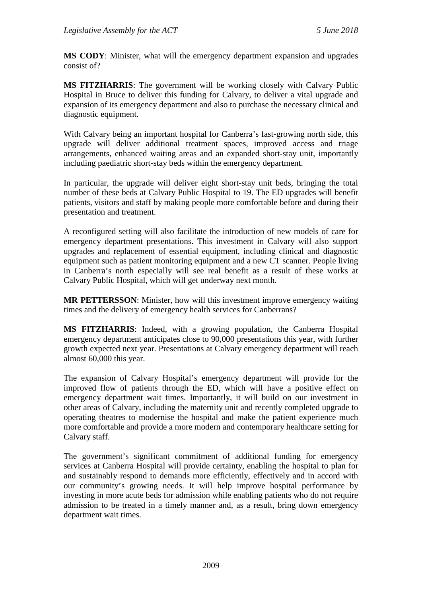**MS CODY**: Minister, what will the emergency department expansion and upgrades consist of?

**MS FITZHARRIS**: The government will be working closely with Calvary Public Hospital in Bruce to deliver this funding for Calvary, to deliver a vital upgrade and expansion of its emergency department and also to purchase the necessary clinical and diagnostic equipment.

With Calvary being an important hospital for Canberra's fast-growing north side, this upgrade will deliver additional treatment spaces, improved access and triage arrangements, enhanced waiting areas and an expanded short-stay unit, importantly including paediatric short-stay beds within the emergency department.

In particular, the upgrade will deliver eight short-stay unit beds, bringing the total number of these beds at Calvary Public Hospital to 19. The ED upgrades will benefit patients, visitors and staff by making people more comfortable before and during their presentation and treatment.

A reconfigured setting will also facilitate the introduction of new models of care for emergency department presentations. This investment in Calvary will also support upgrades and replacement of essential equipment, including clinical and diagnostic equipment such as patient monitoring equipment and a new CT scanner. People living in Canberra's north especially will see real benefit as a result of these works at Calvary Public Hospital, which will get underway next month.

**MR PETTERSSON**: Minister, how will this investment improve emergency waiting times and the delivery of emergency health services for Canberrans?

**MS FITZHARRIS**: Indeed, with a growing population, the Canberra Hospital emergency department anticipates close to 90,000 presentations this year, with further growth expected next year. Presentations at Calvary emergency department will reach almost 60,000 this year.

The expansion of Calvary Hospital's emergency department will provide for the improved flow of patients through the ED, which will have a positive effect on emergency department wait times. Importantly, it will build on our investment in other areas of Calvary, including the maternity unit and recently completed upgrade to operating theatres to modernise the hospital and make the patient experience much more comfortable and provide a more modern and contemporary healthcare setting for Calvary staff.

The government's significant commitment of additional funding for emergency services at Canberra Hospital will provide certainty, enabling the hospital to plan for and sustainably respond to demands more efficiently, effectively and in accord with our community's growing needs. It will help improve hospital performance by investing in more acute beds for admission while enabling patients who do not require admission to be treated in a timely manner and, as a result, bring down emergency department wait times.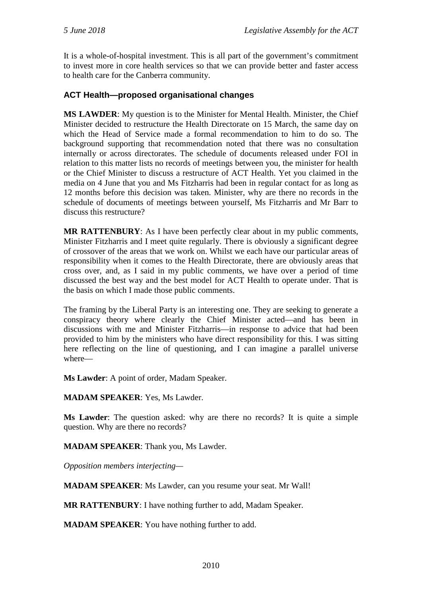It is a whole-of-hospital investment. This is all part of the government's commitment to invest more in core health services so that we can provide better and faster access to health care for the Canberra community.

## <span id="page-47-0"></span>**ACT Health—proposed organisational changes**

**MS LAWDER**: My question is to the Minister for Mental Health. Minister, the Chief Minister decided to restructure the Health Directorate on 15 March, the same day on which the Head of Service made a formal recommendation to him to do so. The background supporting that recommendation noted that there was no consultation internally or across directorates. The schedule of documents released under FOI in relation to this matter lists no records of meetings between you, the minister for health or the Chief Minister to discuss a restructure of ACT Health. Yet you claimed in the media on 4 June that you and Ms Fitzharris had been in regular contact for as long as 12 months before this decision was taken. Minister, why are there no records in the schedule of documents of meetings between yourself, Ms Fitzharris and Mr Barr to discuss this restructure?

**MR RATTENBURY**: As I have been perfectly clear about in my public comments, Minister Fitzharris and I meet quite regularly. There is obviously a significant degree of crossover of the areas that we work on. Whilst we each have our particular areas of responsibility when it comes to the Health Directorate, there are obviously areas that cross over, and, as I said in my public comments, we have over a period of time discussed the best way and the best model for ACT Health to operate under. That is the basis on which I made those public comments.

The framing by the Liberal Party is an interesting one. They are seeking to generate a conspiracy theory where clearly the Chief Minister acted—and has been in discussions with me and Minister Fitzharris—in response to advice that had been provided to him by the ministers who have direct responsibility for this. I was sitting here reflecting on the line of questioning, and I can imagine a parallel universe where—

**Ms Lawder**: A point of order, Madam Speaker.

**MADAM SPEAKER**: Yes, Ms Lawder.

**Ms Lawder**: The question asked: why are there no records? It is quite a simple question. Why are there no records?

**MADAM SPEAKER**: Thank you, Ms Lawder.

*Opposition members interjecting—*

**MADAM SPEAKER**: Ms Lawder, can you resume your seat. Mr Wall!

**MR RATTENBURY**: I have nothing further to add, Madam Speaker.

**MADAM SPEAKER**: You have nothing further to add.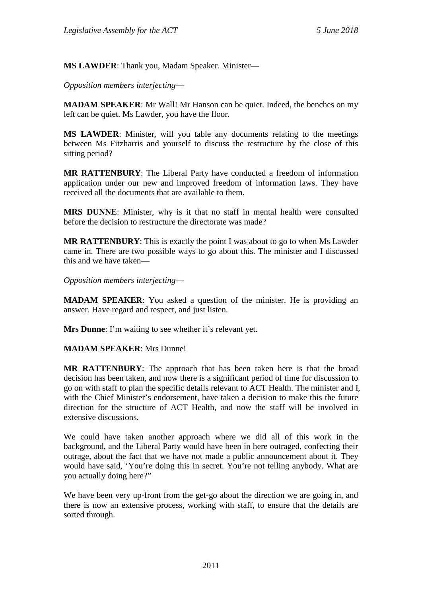**MS LAWDER**: Thank you, Madam Speaker. Minister—

*Opposition members interjecting*—

**MADAM SPEAKER**: Mr Wall! Mr Hanson can be quiet. Indeed, the benches on my left can be quiet. Ms Lawder, you have the floor.

**MS LAWDER**: Minister, will you table any documents relating to the meetings between Ms Fitzharris and yourself to discuss the restructure by the close of this sitting period?

**MR RATTENBURY**: The Liberal Party have conducted a freedom of information application under our new and improved freedom of information laws. They have received all the documents that are available to them.

**MRS DUNNE**: Minister, why is it that no staff in mental health were consulted before the decision to restructure the directorate was made?

**MR RATTENBURY**: This is exactly the point I was about to go to when Ms Lawder came in. There are two possible ways to go about this. The minister and I discussed this and we have taken—

*Opposition members interjecting*—

**MADAM SPEAKER**: You asked a question of the minister. He is providing an answer. Have regard and respect, and just listen.

**Mrs Dunne**: I'm waiting to see whether it's relevant yet.

**MADAM SPEAKER**: Mrs Dunne!

**MR RATTENBURY**: The approach that has been taken here is that the broad decision has been taken, and now there is a significant period of time for discussion to go on with staff to plan the specific details relevant to ACT Health. The minister and I, with the Chief Minister's endorsement, have taken a decision to make this the future direction for the structure of ACT Health, and now the staff will be involved in extensive discussions.

We could have taken another approach where we did all of this work in the background, and the Liberal Party would have been in here outraged, confecting their outrage, about the fact that we have not made a public announcement about it. They would have said, 'You're doing this in secret. You're not telling anybody. What are you actually doing here?"

We have been very up-front from the get-go about the direction we are going in, and there is now an extensive process, working with staff, to ensure that the details are sorted through.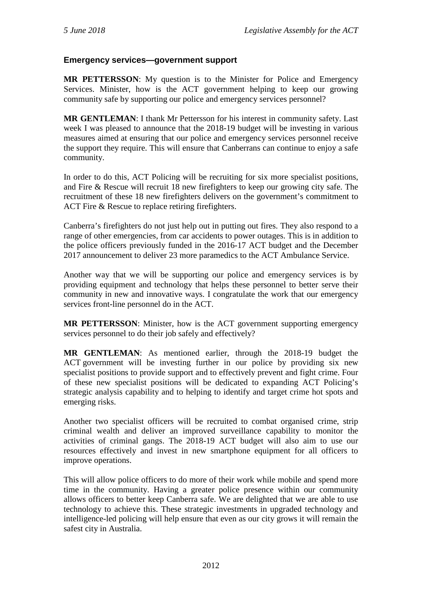## <span id="page-49-0"></span>**Emergency services—government support**

**MR PETTERSSON**: My question is to the Minister for Police and Emergency Services. Minister, how is the ACT government helping to keep our growing community safe by supporting our police and emergency services personnel?

**MR GENTLEMAN**: I thank Mr Pettersson for his interest in community safety. Last week I was pleased to announce that the 2018-19 budget will be investing in various measures aimed at ensuring that our police and emergency services personnel receive the support they require. This will ensure that Canberrans can continue to enjoy a safe community.

In order to do this, ACT Policing will be recruiting for six more specialist positions, and Fire & Rescue will recruit 18 new firefighters to keep our growing city safe. The recruitment of these 18 new firefighters delivers on the government's commitment to ACT Fire & Rescue to replace retiring firefighters.

Canberra's firefighters do not just help out in putting out fires. They also respond to a range of other emergencies, from car accidents to power outages. This is in addition to the police officers previously funded in the 2016-17 ACT budget and the December 2017 announcement to deliver 23 more paramedics to the ACT Ambulance Service.

Another way that we will be supporting our police and emergency services is by providing equipment and technology that helps these personnel to better serve their community in new and innovative ways. I congratulate the work that our emergency services front-line personnel do in the ACT.

**MR PETTERSSON**: Minister, how is the ACT government supporting emergency services personnel to do their job safely and effectively?

**MR GENTLEMAN**: As mentioned earlier, through the 2018-19 budget the ACT government will be investing further in our police by providing six new specialist positions to provide support and to effectively prevent and fight crime. Four of these new specialist positions will be dedicated to expanding ACT Policing's strategic analysis capability and to helping to identify and target crime hot spots and emerging risks.

Another two specialist officers will be recruited to combat organised crime, strip criminal wealth and deliver an improved surveillance capability to monitor the activities of criminal gangs. The 2018-19 ACT budget will also aim to use our resources effectively and invest in new smartphone equipment for all officers to improve operations.

This will allow police officers to do more of their work while mobile and spend more time in the community. Having a greater police presence within our community allows officers to better keep Canberra safe. We are delighted that we are able to use technology to achieve this. These strategic investments in upgraded technology and intelligence-led policing will help ensure that even as our city grows it will remain the safest city in Australia.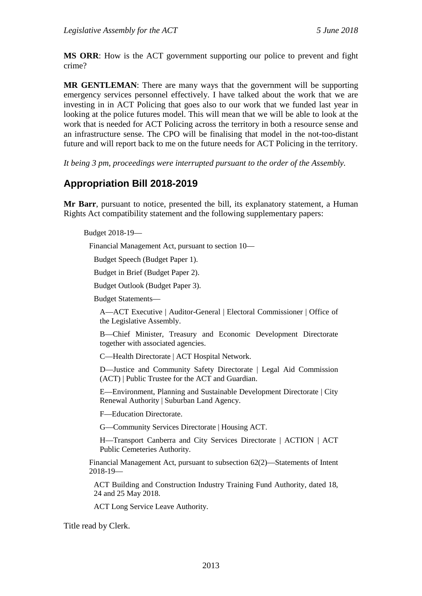**MS ORR**: How is the ACT government supporting our police to prevent and fight crime?

**MR GENTLEMAN**: There are many ways that the government will be supporting emergency services personnel effectively. I have talked about the work that we are investing in in ACT Policing that goes also to our work that we funded last year in looking at the police futures model. This will mean that we will be able to look at the work that is needed for ACT Policing across the territory in both a resource sense and an infrastructure sense. The CPO will be finalising that model in the not-too-distant future and will report back to me on the future needs for ACT Policing in the territory.

*It being 3 pm, proceedings were interrupted pursuant to the order of the Assembly.*

# <span id="page-50-0"></span>**Appropriation Bill 2018-2019**

**Mr Barr**, pursuant to notice, presented the bill, its explanatory statement, a Human Rights Act compatibility statement and the following supplementary papers:

Budget 2018-19—

Financial Management Act, pursuant to section 10—

Budget Speech (Budget Paper 1).

Budget in Brief (Budget Paper 2).

Budget Outlook (Budget Paper 3).

Budget Statements—

A—ACT Executive | Auditor-General | Electoral Commissioner | Office of the Legislative Assembly.

B—Chief Minister, Treasury and Economic Development Directorate together with associated agencies.

C—Health Directorate | ACT Hospital Network.

D—Justice and Community Safety Directorate | Legal Aid Commission (ACT) | Public Trustee for the ACT and Guardian.

E—Environment, Planning and Sustainable Development Directorate | City Renewal Authority | Suburban Land Agency.

F—Education Directorate.

G—Community Services Directorate | Housing ACT.

H—Transport Canberra and City Services Directorate | ACTION | ACT Public Cemeteries Authority.

Financial Management Act, pursuant to subsection 62(2)—Statements of Intent 2018-19—

ACT Building and Construction Industry Training Fund Authority, dated 18, 24 and 25 May 2018.

ACT Long Service Leave Authority.

Title read by Clerk.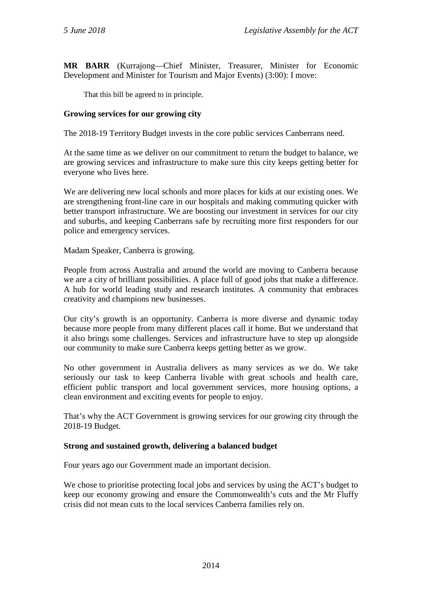**MR BARR** (Kurrajong—Chief Minister, Treasurer, Minister for Economic Development and Minister for Tourism and Major Events) (3:00): I move:

That this bill be agreed to in principle.

#### **Growing services for our growing city**

The 2018-19 Territory Budget invests in the core public services Canberrans need.

At the same time as we deliver on our commitment to return the budget to balance, we are growing services and infrastructure to make sure this city keeps getting better for everyone who lives here.

We are delivering new local schools and more places for kids at our existing ones. We are strengthening front-line care in our hospitals and making commuting quicker with better transport infrastructure. We are boosting our investment in services for our city and suburbs, and keeping Canberrans safe by recruiting more first responders for our police and emergency services.

Madam Speaker, Canberra is growing.

People from across Australia and around the world are moving to Canberra because we are a city of brilliant possibilities. A place full of good jobs that make a difference. A hub for world leading study and research institutes. A community that embraces creativity and champions new businesses.

Our city's growth is an opportunity. Canberra is more diverse and dynamic today because more people from many different places call it home. But we understand that it also brings some challenges. Services and infrastructure have to step up alongside our community to make sure Canberra keeps getting better as we grow.

No other government in Australia delivers as many services as we do. We take seriously our task to keep Canberra livable with great schools and health care, efficient public transport and local government services, more housing options, a clean environment and exciting events for people to enjoy.

That's why the ACT Government is growing services for our growing city through the 2018-19 Budget.

#### **Strong and sustained growth, delivering a balanced budget**

Four years ago our Government made an important decision.

We chose to prioritise protecting local jobs and services by using the ACT's budget to keep our economy growing and ensure the Commonwealth's cuts and the Mr Fluffy crisis did not mean cuts to the local services Canberra families rely on.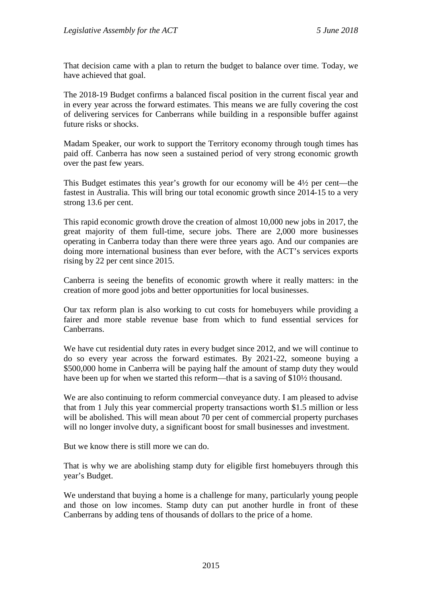That decision came with a plan to return the budget to balance over time. Today, we have achieved that goal.

The 2018-19 Budget confirms a balanced fiscal position in the current fiscal year and in every year across the forward estimates. This means we are fully covering the cost of delivering services for Canberrans while building in a responsible buffer against future risks or shocks.

Madam Speaker, our work to support the Territory economy through tough times has paid off. Canberra has now seen a sustained period of very strong economic growth over the past few years.

This Budget estimates this year's growth for our economy will be 4½ per cent—the fastest in Australia. This will bring our total economic growth since 2014-15 to a very strong 13.6 per cent.

This rapid economic growth drove the creation of almost 10,000 new jobs in 2017, the great majority of them full-time, secure jobs. There are 2,000 more businesses operating in Canberra today than there were three years ago. And our companies are doing more international business than ever before, with the ACT's services exports rising by 22 per cent since 2015.

Canberra is seeing the benefits of economic growth where it really matters: in the creation of more good jobs and better opportunities for local businesses.

Our tax reform plan is also working to cut costs for homebuyers while providing a fairer and more stable revenue base from which to fund essential services for Canberrans.

We have cut residential duty rates in every budget since 2012, and we will continue to do so every year across the forward estimates. By 2021-22, someone buying a \$500,000 home in Canberra will be paying half the amount of stamp duty they would have been up for when we started this reform—that is a saving of \$10½ thousand.

We are also continuing to reform commercial conveyance duty. I am pleased to advise that from 1 July this year commercial property transactions worth \$1.5 million or less will be abolished. This will mean about 70 per cent of commercial property purchases will no longer involve duty, a significant boost for small businesses and investment.

But we know there is still more we can do.

That is why we are abolishing stamp duty for eligible first homebuyers through this year's Budget.

We understand that buying a home is a challenge for many, particularly young people and those on low incomes. Stamp duty can put another hurdle in front of these Canberrans by adding tens of thousands of dollars to the price of a home.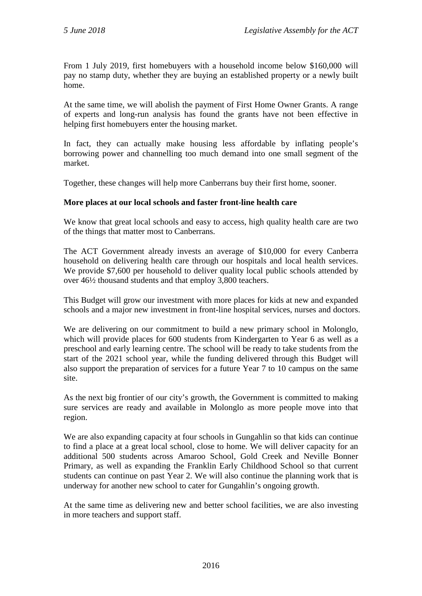From 1 July 2019, first homebuyers with a household income below \$160,000 will pay no stamp duty, whether they are buying an established property or a newly built home.

At the same time, we will abolish the payment of First Home Owner Grants. A range of experts and long-run analysis has found the grants have not been effective in helping first homebuyers enter the housing market.

In fact, they can actually make housing less affordable by inflating people's borrowing power and channelling too much demand into one small segment of the market.

Together, these changes will help more Canberrans buy their first home, sooner.

#### **More places at our local schools and faster front-line health care**

We know that great local schools and easy to access, high quality health care are two of the things that matter most to Canberrans.

The ACT Government already invests an average of \$10,000 for every Canberra household on delivering health care through our hospitals and local health services. We provide \$7,600 per household to deliver quality local public schools attended by over 46½ thousand students and that employ 3,800 teachers.

This Budget will grow our investment with more places for kids at new and expanded schools and a major new investment in front-line hospital services, nurses and doctors.

We are delivering on our commitment to build a new primary school in Molonglo, which will provide places for 600 students from Kindergarten to Year 6 as well as a preschool and early learning centre. The school will be ready to take students from the start of the 2021 school year, while the funding delivered through this Budget will also support the preparation of services for a future Year 7 to 10 campus on the same site.

As the next big frontier of our city's growth, the Government is committed to making sure services are ready and available in Molonglo as more people move into that region.

We are also expanding capacity at four schools in Gungahlin so that kids can continue to find a place at a great local school, close to home. We will deliver capacity for an additional 500 students across Amaroo School, Gold Creek and Neville Bonner Primary, as well as expanding the Franklin Early Childhood School so that current students can continue on past Year 2. We will also continue the planning work that is underway for another new school to cater for Gungahlin's ongoing growth.

At the same time as delivering new and better school facilities, we are also investing in more teachers and support staff.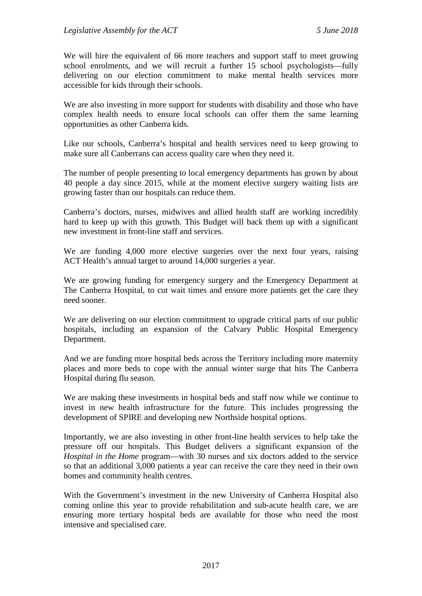We will hire the equivalent of 66 more teachers and support staff to meet growing school enrolments, and we will recruit a further 15 school psychologists—fully delivering on our election commitment to make mental health services more accessible for kids through their schools.

We are also investing in more support for students with disability and those who have complex health needs to ensure local schools can offer them the same learning opportunities as other Canberra kids.

Like our schools, Canberra's hospital and health services need to keep growing to make sure all Canberrans can access quality care when they need it.

The number of people presenting to local emergency departments has grown by about 40 people a day since 2015, while at the moment elective surgery waiting lists are growing faster than our hospitals can reduce them.

Canberra's doctors, nurses, midwives and allied health staff are working incredibly hard to keep up with this growth. This Budget will back them up with a significant new investment in front-line staff and services.

We are funding 4,000 more elective surgeries over the next four years, raising ACT Health's annual target to around 14,000 surgeries a year.

We are growing funding for emergency surgery and the Emergency Department at The Canberra Hospital, to cut wait times and ensure more patients get the care they need sooner.

We are delivering on our election commitment to upgrade critical parts of our public hospitals, including an expansion of the Calvary Public Hospital Emergency Department.

And we are funding more hospital beds across the Territory including more maternity places and more beds to cope with the annual winter surge that hits The Canberra Hospital during flu season.

We are making these investments in hospital beds and staff now while we continue to invest in new health infrastructure for the future. This includes progressing the development of SPIRE and developing new Northside hospital options.

Importantly, we are also investing in other front-line health services to help take the pressure off our hospitals. This Budget delivers a significant expansion of the *Hospital in the Home* program—with 30 nurses and six doctors added to the service so that an additional 3,000 patients a year can receive the care they need in their own homes and community health centres.

With the Government's investment in the new University of Canberra Hospital also coming online this year to provide rehabilitation and sub-acute health care, we are ensuring more tertiary hospital beds are available for those who need the most intensive and specialised care.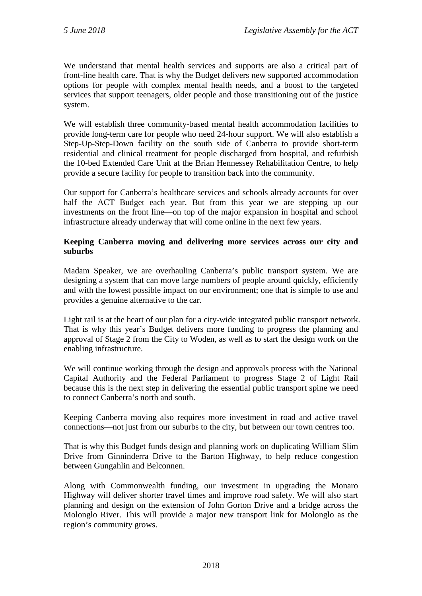We understand that mental health services and supports are also a critical part of front-line health care. That is why the Budget delivers new supported accommodation options for people with complex mental health needs, and a boost to the targeted services that support teenagers, older people and those transitioning out of the justice system.

We will establish three community-based mental health accommodation facilities to provide long-term care for people who need 24-hour support. We will also establish a Step-Up-Step-Down facility on the south side of Canberra to provide short-term residential and clinical treatment for people discharged from hospital, and refurbish the 10-bed Extended Care Unit at the Brian Hennessey Rehabilitation Centre, to help provide a secure facility for people to transition back into the community.

Our support for Canberra's healthcare services and schools already accounts for over half the ACT Budget each year. But from this year we are stepping up our investments on the front line—on top of the major expansion in hospital and school infrastructure already underway that will come online in the next few years.

#### **Keeping Canberra moving and delivering more services across our city and suburbs**

Madam Speaker, we are overhauling Canberra's public transport system. We are designing a system that can move large numbers of people around quickly, efficiently and with the lowest possible impact on our environment; one that is simple to use and provides a genuine alternative to the car.

Light rail is at the heart of our plan for a city-wide integrated public transport network. That is why this year's Budget delivers more funding to progress the planning and approval of Stage 2 from the City to Woden, as well as to start the design work on the enabling infrastructure.

We will continue working through the design and approvals process with the National Capital Authority and the Federal Parliament to progress Stage 2 of Light Rail because this is the next step in delivering the essential public transport spine we need to connect Canberra's north and south.

Keeping Canberra moving also requires more investment in road and active travel connections—not just from our suburbs to the city, but between our town centres too.

That is why this Budget funds design and planning work on duplicating William Slim Drive from Ginninderra Drive to the Barton Highway, to help reduce congestion between Gungahlin and Belconnen.

Along with Commonwealth funding, our investment in upgrading the Monaro Highway will deliver shorter travel times and improve road safety. We will also start planning and design on the extension of John Gorton Drive and a bridge across the Molonglo River. This will provide a major new transport link for Molonglo as the region's community grows.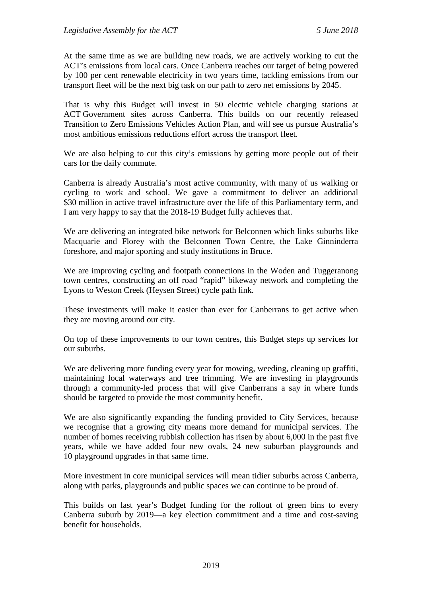At the same time as we are building new roads, we are actively working to cut the ACT's emissions from local cars. Once Canberra reaches our target of being powered by 100 per cent renewable electricity in two years time, tackling emissions from our transport fleet will be the next big task on our path to zero net emissions by 2045.

That is why this Budget will invest in 50 electric vehicle charging stations at ACT Government sites across Canberra. This builds on our recently released Transition to Zero Emissions Vehicles Action Plan, and will see us pursue Australia's most ambitious emissions reductions effort across the transport fleet.

We are also helping to cut this city's emissions by getting more people out of their cars for the daily commute.

Canberra is already Australia's most active community, with many of us walking or cycling to work and school. We gave a commitment to deliver an additional \$30 million in active travel infrastructure over the life of this Parliamentary term, and I am very happy to say that the 2018-19 Budget fully achieves that.

We are delivering an integrated bike network for Belconnen which links suburbs like Macquarie and Florey with the Belconnen Town Centre, the Lake Ginninderra foreshore, and major sporting and study institutions in Bruce.

We are improving cycling and footpath connections in the Woden and Tuggeranong town centres, constructing an off road "rapid" bikeway network and completing the Lyons to Weston Creek (Heysen Street) cycle path link.

These investments will make it easier than ever for Canberrans to get active when they are moving around our city.

On top of these improvements to our town centres, this Budget steps up services for our suburbs.

We are delivering more funding every year for mowing, weeding, cleaning up graffiti, maintaining local waterways and tree trimming. We are investing in playgrounds through a community-led process that will give Canberrans a say in where funds should be targeted to provide the most community benefit.

We are also significantly expanding the funding provided to City Services, because we recognise that a growing city means more demand for municipal services. The number of homes receiving rubbish collection has risen by about 6,000 in the past five years, while we have added four new ovals, 24 new suburban playgrounds and 10 playground upgrades in that same time.

More investment in core municipal services will mean tidier suburbs across Canberra, along with parks, playgrounds and public spaces we can continue to be proud of.

This builds on last year's Budget funding for the rollout of green bins to every Canberra suburb by 2019—a key election commitment and a time and cost-saving benefit for households.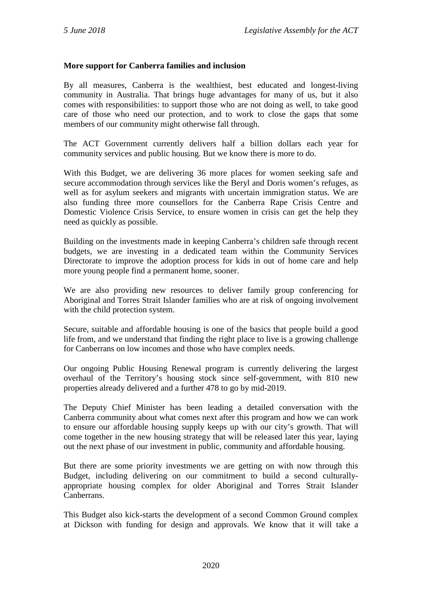#### **More support for Canberra families and inclusion**

By all measures, Canberra is the wealthiest, best educated and longest-living community in Australia. That brings huge advantages for many of us, but it also comes with responsibilities: to support those who are not doing as well, to take good care of those who need our protection, and to work to close the gaps that some members of our community might otherwise fall through.

The ACT Government currently delivers half a billion dollars each year for community services and public housing. But we know there is more to do.

With this Budget, we are delivering 36 more places for women seeking safe and secure accommodation through services like the Beryl and Doris women's refuges, as well as for asylum seekers and migrants with uncertain immigration status. We are also funding three more counsellors for the Canberra Rape Crisis Centre and Domestic Violence Crisis Service, to ensure women in crisis can get the help they need as quickly as possible.

Building on the investments made in keeping Canberra's children safe through recent budgets, we are investing in a dedicated team within the Community Services Directorate to improve the adoption process for kids in out of home care and help more young people find a permanent home, sooner.

We are also providing new resources to deliver family group conferencing for Aboriginal and Torres Strait Islander families who are at risk of ongoing involvement with the child protection system.

Secure, suitable and affordable housing is one of the basics that people build a good life from, and we understand that finding the right place to live is a growing challenge for Canberrans on low incomes and those who have complex needs.

Our ongoing Public Housing Renewal program is currently delivering the largest overhaul of the Territory's housing stock since self-government, with 810 new properties already delivered and a further 478 to go by mid-2019.

The Deputy Chief Minister has been leading a detailed conversation with the Canberra community about what comes next after this program and how we can work to ensure our affordable housing supply keeps up with our city's growth. That will come together in the new housing strategy that will be released later this year, laying out the next phase of our investment in public, community and affordable housing.

But there are some priority investments we are getting on with now through this Budget, including delivering on our commitment to build a second culturallyappropriate housing complex for older Aboriginal and Torres Strait Islander Canberrans.

This Budget also kick-starts the development of a second Common Ground complex at Dickson with funding for design and approvals. We know that it will take a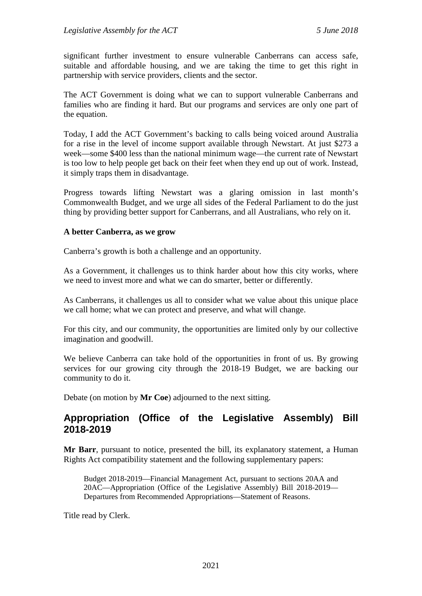significant further investment to ensure vulnerable Canberrans can access safe, suitable and affordable housing, and we are taking the time to get this right in partnership with service providers, clients and the sector.

The ACT Government is doing what we can to support vulnerable Canberrans and families who are finding it hard. But our programs and services are only one part of the equation.

Today, I add the ACT Government's backing to calls being voiced around Australia for a rise in the level of income support available through Newstart. At just \$273 a week—some \$400 less than the national minimum wage—the current rate of Newstart is too low to help people get back on their feet when they end up out of work. Instead, it simply traps them in disadvantage.

Progress towards lifting Newstart was a glaring omission in last month's Commonwealth Budget, and we urge all sides of the Federal Parliament to do the just thing by providing better support for Canberrans, and all Australians, who rely on it.

#### **A better Canberra, as we grow**

Canberra's growth is both a challenge and an opportunity.

As a Government, it challenges us to think harder about how this city works, where we need to invest more and what we can do smarter, better or differently.

As Canberrans, it challenges us all to consider what we value about this unique place we call home; what we can protect and preserve, and what will change.

For this city, and our community, the opportunities are limited only by our collective imagination and goodwill.

We believe Canberra can take hold of the opportunities in front of us. By growing services for our growing city through the 2018-19 Budget, we are backing our community to do it.

Debate (on motion by **Mr Coe**) adjourned to the next sitting.

# <span id="page-58-0"></span>**Appropriation (Office of the Legislative Assembly) Bill 2018-2019**

**Mr Barr**, pursuant to notice, presented the bill, its explanatory statement, a Human Rights Act compatibility statement and the following supplementary papers:

Budget 2018-2019—Financial Management Act, pursuant to sections 20AA and 20AC—Appropriation (Office of the Legislative Assembly) Bill 2018-2019— Departures from Recommended Appropriations—Statement of Reasons.

Title read by Clerk.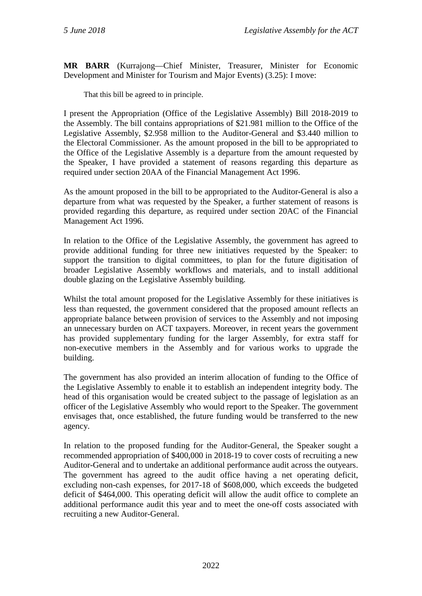**MR BARR** (Kurrajong—Chief Minister, Treasurer, Minister for Economic Development and Minister for Tourism and Major Events) (3.25): I move:

That this bill be agreed to in principle.

I present the Appropriation (Office of the Legislative Assembly) Bill 2018-2019 to the Assembly. The bill contains appropriations of \$21.981 million to the Office of the Legislative Assembly, \$2.958 million to the Auditor-General and \$3.440 million to the Electoral Commissioner. As the amount proposed in the bill to be appropriated to the Office of the Legislative Assembly is a departure from the amount requested by the Speaker, I have provided a statement of reasons regarding this departure as required under section 20AA of the Financial Management Act 1996.

As the amount proposed in the bill to be appropriated to the Auditor-General is also a departure from what was requested by the Speaker, a further statement of reasons is provided regarding this departure, as required under section 20AC of the Financial Management Act 1996.

In relation to the Office of the Legislative Assembly, the government has agreed to provide additional funding for three new initiatives requested by the Speaker: to support the transition to digital committees, to plan for the future digitisation of broader Legislative Assembly workflows and materials, and to install additional double glazing on the Legislative Assembly building.

Whilst the total amount proposed for the Legislative Assembly for these initiatives is less than requested, the government considered that the proposed amount reflects an appropriate balance between provision of services to the Assembly and not imposing an unnecessary burden on ACT taxpayers. Moreover, in recent years the government has provided supplementary funding for the larger Assembly, for extra staff for non-executive members in the Assembly and for various works to upgrade the building.

The government has also provided an interim allocation of funding to the Office of the Legislative Assembly to enable it to establish an independent integrity body. The head of this organisation would be created subject to the passage of legislation as an officer of the Legislative Assembly who would report to the Speaker. The government envisages that, once established, the future funding would be transferred to the new agency.

In relation to the proposed funding for the Auditor-General, the Speaker sought a recommended appropriation of \$400,000 in 2018-19 to cover costs of recruiting a new Auditor-General and to undertake an additional performance audit across the outyears. The government has agreed to the audit office having a net operating deficit, excluding non-cash expenses, for 2017-18 of \$608,000, which exceeds the budgeted deficit of \$464,000. This operating deficit will allow the audit office to complete an additional performance audit this year and to meet the one-off costs associated with recruiting a new Auditor-General.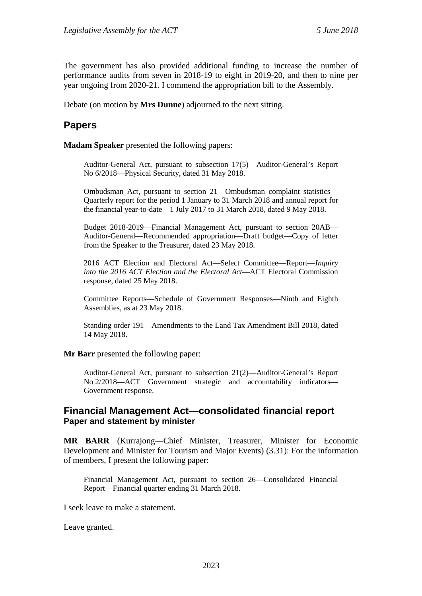The government has also provided additional funding to increase the number of performance audits from seven in 2018-19 to eight in 2019-20, and then to nine per year ongoing from 2020-21. I commend the appropriation bill to the Assembly.

Debate (on motion by **Mrs Dunne**) adjourned to the next sitting.

# <span id="page-60-0"></span>**Papers**

**Madam Speaker** presented the following papers:

Auditor-General Act, pursuant to subsection 17(5)—Auditor-General's Report No 6/2018—Physical Security, dated 31 May 2018.

Ombudsman Act, pursuant to section 21—Ombudsman complaint statistics— Quarterly report for the period 1 January to 31 March 2018 and annual report for the financial year-to-date—1 July 2017 to 31 March 2018, dated 9 May 2018.

Budget 2018-2019—Financial Management Act, pursuant to section 20AB— Auditor-General—Recommended appropriation—Draft budget—Copy of letter from the Speaker to the Treasurer, dated 23 May 2018.

2016 ACT Election and Electoral Act—Select Committee—Report—*Inquiry into the 2016 ACT Election and the Electoral Act*—ACT Electoral Commission response, dated 25 May 2018.

Committee Reports—Schedule of Government Responses—Ninth and Eighth Assemblies, as at 23 May 2018.

Standing order 191—Amendments to the Land Tax Amendment Bill 2018, dated 14 May 2018.

**Mr Barr** presented the following paper:

Auditor-General Act, pursuant to subsection 21(2)—Auditor-General's Report No 2/2018—ACT Government strategic and accountability indicators— Government response.

## <span id="page-60-1"></span>**Financial Management Act—consolidated financial report Paper and statement by minister**

**MR BARR** (Kurrajong—Chief Minister, Treasurer, Minister for Economic Development and Minister for Tourism and Major Events) (3.31): For the information of members, I present the following paper:

Financial Management Act, pursuant to section 26—Consolidated Financial Report—Financial quarter ending 31 March 2018.

I seek leave to make a statement.

Leave granted.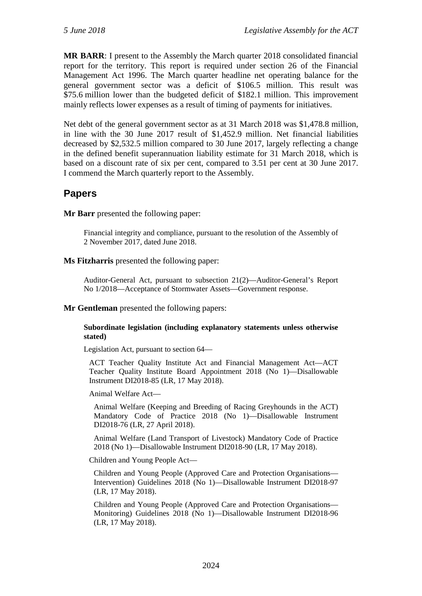**MR BARR**: I present to the Assembly the March quarter 2018 consolidated financial report for the territory. This report is required under section 26 of the Financial Management Act 1996. The March quarter headline net operating balance for the general government sector was a deficit of \$106.5 million. This result was \$75.6 million lower than the budgeted deficit of \$182.1 million. This improvement mainly reflects lower expenses as a result of timing of payments for initiatives.

Net debt of the general government sector as at 31 March 2018 was \$1,478.8 million, in line with the 30 June 2017 result of \$1,452.9 million. Net financial liabilities decreased by \$2,532.5 million compared to 30 June 2017, largely reflecting a change in the defined benefit superannuation liability estimate for 31 March 2018, which is based on a discount rate of six per cent, compared to 3.51 per cent at 30 June 2017. I commend the March quarterly report to the Assembly.

# <span id="page-61-0"></span>**Papers**

**Mr Barr** presented the following paper:

Financial integrity and compliance, pursuant to the resolution of the Assembly of 2 November 2017, dated June 2018.

#### **Ms Fitzharris** presented the following paper:

Auditor-General Act, pursuant to subsection 21(2)—Auditor-General's Report No 1/2018—Acceptance of Stormwater Assets—Government response.

#### **Mr Gentleman** presented the following papers:

#### **Subordinate legislation (including explanatory statements unless otherwise stated)**

Legislation Act, pursuant to section 64—

ACT Teacher Quality Institute Act and Financial Management Act—ACT Teacher Quality Institute Board Appointment 2018 (No 1)—Disallowable Instrument DI2018-85 (LR, 17 May 2018).

Animal Welfare Act—

Animal Welfare (Keeping and Breeding of Racing Greyhounds in the ACT) Mandatory Code of Practice 2018 (No 1)—Disallowable Instrument DI2018-76 (LR, 27 April 2018).

Animal Welfare (Land Transport of Livestock) Mandatory Code of Practice 2018 (No 1)—Disallowable Instrument DI2018-90 (LR, 17 May 2018).

Children and Young People Act—

Children and Young People (Approved Care and Protection Organisations— Intervention) Guidelines 2018 (No 1)—Disallowable Instrument DI2018-97 (LR, 17 May 2018).

Children and Young People (Approved Care and Protection Organisations— Monitoring) Guidelines 2018 (No 1)—Disallowable Instrument DI2018-96 (LR, 17 May 2018).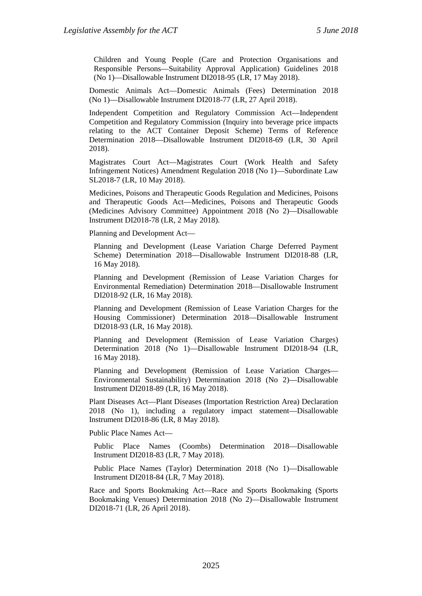Children and Young People (Care and Protection Organisations and Responsible Persons—Suitability Approval Application) Guidelines 2018 (No 1)—Disallowable Instrument DI2018-95 (LR, 17 May 2018).

Domestic Animals Act—Domestic Animals (Fees) Determination 2018 (No 1)—Disallowable Instrument DI2018-77 (LR, 27 April 2018).

Independent Competition and Regulatory Commission Act—Independent Competition and Regulatory Commission (Inquiry into beverage price impacts relating to the ACT Container Deposit Scheme) Terms of Reference Determination 2018—Disallowable Instrument DI2018-69 (LR, 30 April 2018).

Magistrates Court Act—Magistrates Court (Work Health and Safety Infringement Notices) Amendment Regulation 2018 (No 1)—Subordinate Law SL2018-7 (LR, 10 May 2018).

Medicines, Poisons and Therapeutic Goods Regulation and Medicines, Poisons and Therapeutic Goods Act—Medicines, Poisons and Therapeutic Goods (Medicines Advisory Committee) Appointment 2018 (No 2)—Disallowable Instrument DI2018-78 (LR, 2 May 2018).

Planning and Development Act—

Planning and Development (Lease Variation Charge Deferred Payment Scheme) Determination 2018—Disallowable Instrument DI2018-88 (LR, 16 May 2018).

Planning and Development (Remission of Lease Variation Charges for Environmental Remediation) Determination 2018—Disallowable Instrument DI2018-92 (LR, 16 May 2018).

Planning and Development (Remission of Lease Variation Charges for the Housing Commissioner) Determination 2018—Disallowable Instrument DI2018-93 (LR, 16 May 2018).

Planning and Development (Remission of Lease Variation Charges) Determination 2018 (No 1)—Disallowable Instrument DI2018-94 (LR, 16 May 2018).

Planning and Development (Remission of Lease Variation Charges— Environmental Sustainability) Determination 2018 (No 2)—Disallowable Instrument DI2018-89 (LR, 16 May 2018).

Plant Diseases Act—Plant Diseases (Importation Restriction Area) Declaration 2018 (No 1), including a regulatory impact statement—Disallowable Instrument DI2018-86 (LR, 8 May 2018).

Public Place Names Act—

Public Place Names (Coombs) Determination 2018—Disallowable Instrument DI2018-83 (LR, 7 May 2018).

Public Place Names (Taylor) Determination 2018 (No 1)—Disallowable Instrument DI2018-84 (LR, 7 May 2018).

Race and Sports Bookmaking Act—Race and Sports Bookmaking (Sports Bookmaking Venues) Determination 2018 (No 2)—Disallowable Instrument DI2018-71 (LR, 26 April 2018).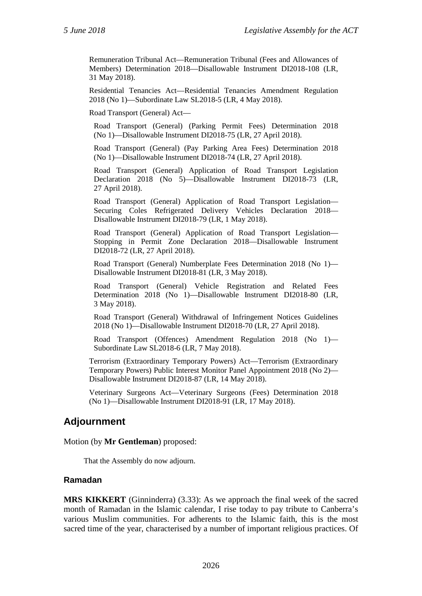Remuneration Tribunal Act—Remuneration Tribunal (Fees and Allowances of Members) Determination 2018—Disallowable Instrument DI2018-108 (LR, 31 May 2018).

Residential Tenancies Act—Residential Tenancies Amendment Regulation 2018 (No 1)—Subordinate Law SL2018-5 (LR, 4 May 2018).

Road Transport (General) Act—

Road Transport (General) (Parking Permit Fees) Determination 2018 (No 1)—Disallowable Instrument DI2018-75 (LR, 27 April 2018).

Road Transport (General) (Pay Parking Area Fees) Determination 2018 (No 1)—Disallowable Instrument DI2018-74 (LR, 27 April 2018).

Road Transport (General) Application of Road Transport Legislation Declaration 2018 (No 5)—Disallowable Instrument DI2018-73 (LR, 27 April 2018).

Road Transport (General) Application of Road Transport Legislation— Securing Coles Refrigerated Delivery Vehicles Declaration 2018— Disallowable Instrument DI2018-79 (LR, 1 May 2018).

Road Transport (General) Application of Road Transport Legislation— Stopping in Permit Zone Declaration 2018—Disallowable Instrument DI2018-72 (LR, 27 April 2018).

Road Transport (General) Numberplate Fees Determination 2018 (No 1)— Disallowable Instrument DI2018-81 (LR, 3 May 2018).

Road Transport (General) Vehicle Registration and Related Fees Determination 2018 (No 1)—Disallowable Instrument DI2018-80 (LR, 3 May 2018).

Road Transport (General) Withdrawal of Infringement Notices Guidelines 2018 (No 1)—Disallowable Instrument DI2018-70 (LR, 27 April 2018).

Road Transport (Offences) Amendment Regulation 2018 (No 1)— Subordinate Law SL2018-6 (LR, 7 May 2018).

Terrorism (Extraordinary Temporary Powers) Act—Terrorism (Extraordinary Temporary Powers) Public Interest Monitor Panel Appointment 2018 (No 2)— Disallowable Instrument DI2018-87 (LR, 14 May 2018).

Veterinary Surgeons Act—Veterinary Surgeons (Fees) Determination 2018 (No 1)—Disallowable Instrument DI2018-91 (LR, 17 May 2018).

# <span id="page-63-0"></span>**Adjournment**

#### Motion (by **Mr Gentleman**) proposed:

That the Assembly do now adjourn.

#### <span id="page-63-1"></span>**Ramadan**

**MRS KIKKERT** (Ginninderra) (3.33): As we approach the final week of the sacred month of Ramadan in the Islamic calendar, I rise today to pay tribute to Canberra's various Muslim communities. For adherents to the Islamic faith, this is the most sacred time of the year, characterised by a number of important religious practices. Of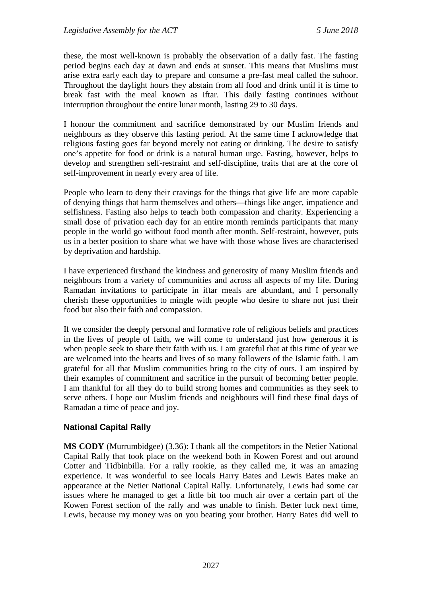these, the most well-known is probably the observation of a daily fast. The fasting period begins each day at dawn and ends at sunset. This means that Muslims must arise extra early each day to prepare and consume a pre-fast meal called the suhoor. Throughout the daylight hours they abstain from all food and drink until it is time to break fast with the meal known as iftar. This daily fasting continues without interruption throughout the entire lunar month, lasting 29 to 30 days.

I honour the commitment and sacrifice demonstrated by our Muslim friends and neighbours as they observe this fasting period. At the same time I acknowledge that religious fasting goes far beyond merely not eating or drinking. The desire to satisfy one's appetite for food or drink is a natural human urge. Fasting, however, helps to develop and strengthen self-restraint and self-discipline, traits that are at the core of self-improvement in nearly every area of life.

People who learn to deny their cravings for the things that give life are more capable of denying things that harm themselves and others—things like anger, impatience and selfishness. Fasting also helps to teach both compassion and charity. Experiencing a small dose of privation each day for an entire month reminds participants that many people in the world go without food month after month. Self-restraint, however, puts us in a better position to share what we have with those whose lives are characterised by deprivation and hardship.

I have experienced firsthand the kindness and generosity of many Muslim friends and neighbours from a variety of communities and across all aspects of my life. During Ramadan invitations to participate in iftar meals are abundant, and I personally cherish these opportunities to mingle with people who desire to share not just their food but also their faith and compassion.

If we consider the deeply personal and formative role of religious beliefs and practices in the lives of people of faith, we will come to understand just how generous it is when people seek to share their faith with us. I am grateful that at this time of year we are welcomed into the hearts and lives of so many followers of the Islamic faith. I am grateful for all that Muslim communities bring to the city of ours. I am inspired by their examples of commitment and sacrifice in the pursuit of becoming better people. I am thankful for all they do to build strong homes and communities as they seek to serve others. I hope our Muslim friends and neighbours will find these final days of Ramadan a time of peace and joy.

#### <span id="page-64-0"></span>**National Capital Rally**

**MS CODY** (Murrumbidgee) (3.36): I thank all the competitors in the Netier National Capital Rally that took place on the weekend both in Kowen Forest and out around Cotter and Tidbinbilla. For a rally rookie, as they called me, it was an amazing experience. It was wonderful to see locals Harry Bates and Lewis Bates make an appearance at the Netier National Capital Rally. Unfortunately, Lewis had some car issues where he managed to get a little bit too much air over a certain part of the Kowen Forest section of the rally and was unable to finish. Better luck next time, Lewis, because my money was on you beating your brother. Harry Bates did well to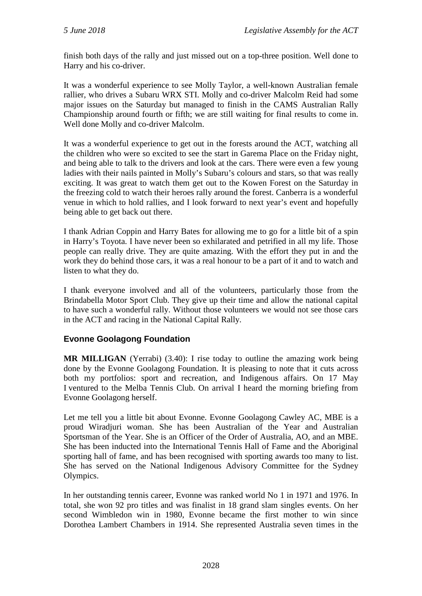finish both days of the rally and just missed out on a top-three position. Well done to Harry and his co-driver.

It was a wonderful experience to see Molly Taylor, a well-known Australian female rallier, who drives a Subaru WRX STI. Molly and co-driver Malcolm Reid had some major issues on the Saturday but managed to finish in the CAMS Australian Rally Championship around fourth or fifth; we are still waiting for final results to come in. Well done Molly and co-driver Malcolm.

It was a wonderful experience to get out in the forests around the ACT, watching all the children who were so excited to see the start in Garema Place on the Friday night, and being able to talk to the drivers and look at the cars. There were even a few young ladies with their nails painted in Molly's Subaru's colours and stars, so that was really exciting. It was great to watch them get out to the Kowen Forest on the Saturday in the freezing cold to watch their heroes rally around the forest. Canberra is a wonderful venue in which to hold rallies, and I look forward to next year's event and hopefully being able to get back out there.

I thank Adrian Coppin and Harry Bates for allowing me to go for a little bit of a spin in Harry's Toyota. I have never been so exhilarated and petrified in all my life. Those people can really drive. They are quite amazing. With the effort they put in and the work they do behind those cars, it was a real honour to be a part of it and to watch and listen to what they do.

I thank everyone involved and all of the volunteers, particularly those from the Brindabella Motor Sport Club. They give up their time and allow the national capital to have such a wonderful rally. Without those volunteers we would not see those cars in the ACT and racing in the National Capital Rally.

## <span id="page-65-0"></span>**Evonne Goolagong Foundation**

**MR MILLIGAN** (Yerrabi) (3.40): I rise today to outline the amazing work being done by the Evonne Goolagong Foundation. It is pleasing to note that it cuts across both my portfolios: sport and recreation, and Indigenous affairs. On 17 May I ventured to the Melba Tennis Club. On arrival I heard the morning briefing from Evonne Goolagong herself.

Let me tell you a little bit about Evonne. Evonne Goolagong Cawley AC, MBE is a proud Wiradjuri woman. She has been Australian of the Year and Australian Sportsman of the Year. She is an Officer of the Order of Australia, AO, and an MBE. She has been inducted into the International Tennis Hall of Fame and the Aboriginal sporting hall of fame, and has been recognised with sporting awards too many to list. She has served on the National Indigenous Advisory Committee for the Sydney Olympics.

In her outstanding tennis career, Evonne was ranked world No 1 in 1971 and 1976. In total, she won 92 pro titles and was finalist in 18 grand slam singles events. On her second Wimbledon win in 1980, Evonne became the first mother to win since Dorothea Lambert Chambers in 1914. She represented Australia seven times in the